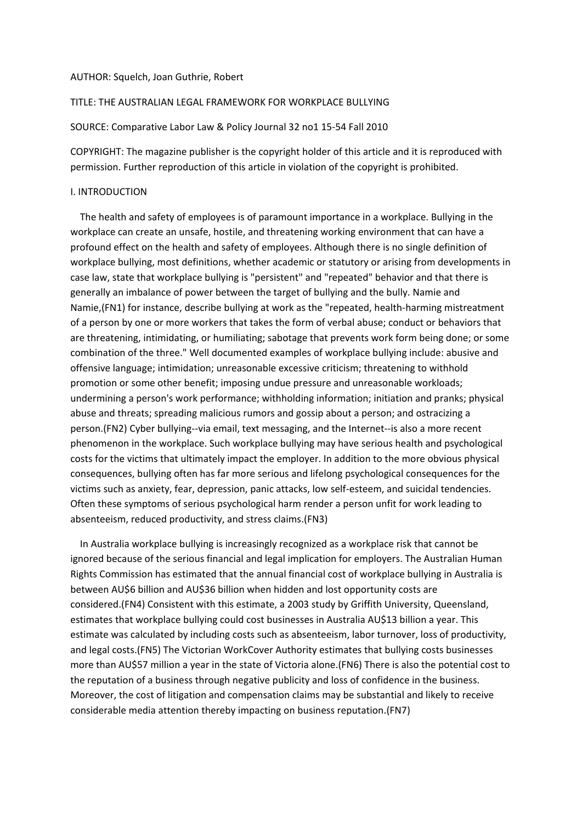#### AUTHOR: Squelch, Joan Guthrie, Robert

# TITLE: THE AUSTRALIAN LEGAL FRAMEWORK FOR WORKPLACE BULLYING

SOURCE: Comparative Labor Law & Policy Journal 32 no1 15-54 Fall 2010

COPYRIGHT: The magazine publisher is the copyright holder of this article and it is reproduced with permission. Further reproduction of this article in violation of the copyright is prohibited.

### I. INTRODUCTION

 The health and safety of employees is of paramount importance in a workplace. Bullying in the workplace can create an unsafe, hostile, and threatening working environment that can have a profound effect on the health and safety of employees. Although there is no single definition of workplace bullying, most definitions, whether academic or statutory or arising from developments in case law, state that workplace bullying is "persistent" and "repeated" behavior and that there is generally an imbalance of power between the target of bullying and the bully. Namie and Namie,(FN1) for instance, describe bullying at work as the "repeated, health-harming mistreatment of a person by one or more workers that takes the form of verbal abuse; conduct or behaviors that are threatening, intimidating, or humiliating; sabotage that prevents work form being done; or some combination of the three." Well documented examples of workplace bullying include: abusive and offensive language; intimidation; unreasonable excessive criticism; threatening to withhold promotion or some other benefit; imposing undue pressure and unreasonable workloads; undermining a person's work performance; withholding information; initiation and pranks; physical abuse and threats; spreading malicious rumors and gossip about a person; and ostracizing a person.(FN2) Cyber bullying--via email, text messaging, and the Internet--is also a more recent phenomenon in the workplace. Such workplace bullying may have serious health and psychological costs for the victims that ultimately impact the employer. In addition to the more obvious physical consequences, bullying often has far more serious and lifelong psychological consequences for the victims such as anxiety, fear, depression, panic attacks, low self-esteem, and suicidal tendencies. Often these symptoms of serious psychological harm render a person unfit for work leading to absenteeism, reduced productivity, and stress claims.(FN3)

 In Australia workplace bullying is increasingly recognized as a workplace risk that cannot be ignored because of the serious financial and legal implication for employers. The Australian Human Rights Commission has estimated that the annual financial cost of workplace bullying in Australia is between AU\$6 billion and AU\$36 billion when hidden and lost opportunity costs are considered.(FN4) Consistent with this estimate, a 2003 study by Griffith University, Queensland, estimates that workplace bullying could cost businesses in Australia AU\$13 billion a year. This estimate was calculated by including costs such as absenteeism, labor turnover, loss of productivity, and legal costs.(FN5) The Victorian WorkCover Authority estimates that bullying costs businesses more than AU\$57 million a year in the state of Victoria alone.(FN6) There is also the potential cost to the reputation of a business through negative publicity and loss of confidence in the business. Moreover, the cost of litigation and compensation claims may be substantial and likely to receive considerable media attention thereby impacting on business reputation.(FN7)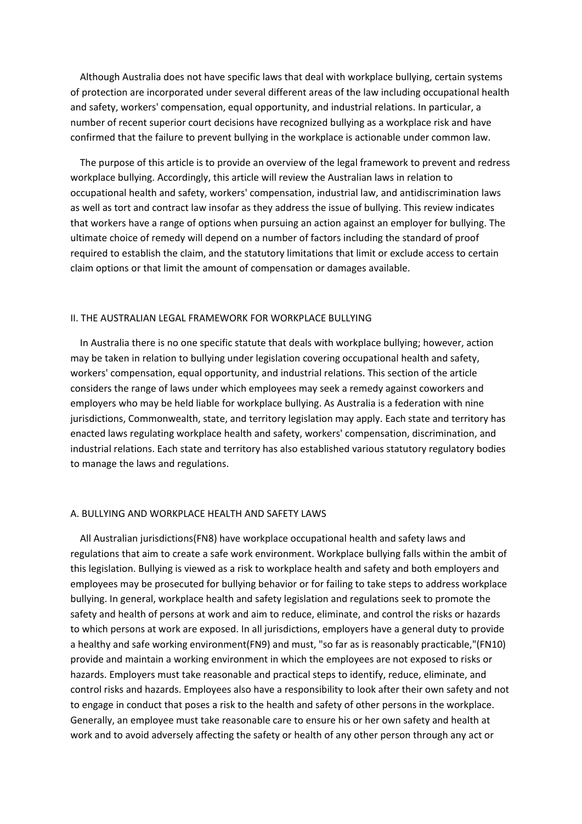Although Australia does not have specific laws that deal with workplace bullying, certain systems of protection are incorporated under several different areas of the law including occupational health and safety, workers' compensation, equal opportunity, and industrial relations. In particular, a number of recent superior court decisions have recognized bullying as a workplace risk and have confirmed that the failure to prevent bullying in the workplace is actionable under common law.

 The purpose of this article is to provide an overview of the legal framework to prevent and redress workplace bullying. Accordingly, this article will review the Australian laws in relation to occupational health and safety, workers' compensation, industrial law, and antidiscrimination laws as well as tort and contract law insofar as they address the issue of bullying. This review indicates that workers have a range of options when pursuing an action against an employer for bullying. The ultimate choice of remedy will depend on a number of factors including the standard of proof required to establish the claim, and the statutory limitations that limit or exclude access to certain claim options or that limit the amount of compensation or damages available.

### II. THE AUSTRALIAN LEGAL FRAMEWORK FOR WORKPLACE BULLYING

 In Australia there is no one specific statute that deals with workplace bullying; however, action may be taken in relation to bullying under legislation covering occupational health and safety, workers' compensation, equal opportunity, and industrial relations. This section of the article considers the range of laws under which employees may seek a remedy against coworkers and employers who may be held liable for workplace bullying. As Australia is a federation with nine jurisdictions, Commonwealth, state, and territory legislation may apply. Each state and territory has enacted laws regulating workplace health and safety, workers' compensation, discrimination, and industrial relations. Each state and territory has also established various statutory regulatory bodies to manage the laws and regulations.

#### A. BULLYING AND WORKPLACE HEALTH AND SAFETY LAWS

 All Australian jurisdictions(FN8) have workplace occupational health and safety laws and regulations that aim to create a safe work environment. Workplace bullying falls within the ambit of this legislation. Bullying is viewed as a risk to workplace health and safety and both employers and employees may be prosecuted for bullying behavior or for failing to take steps to address workplace bullying. In general, workplace health and safety legislation and regulations seek to promote the safety and health of persons at work and aim to reduce, eliminate, and control the risks or hazards to which persons at work are exposed. In all jurisdictions, employers have a general duty to provide a healthy and safe working environment(FN9) and must, "so far as is reasonably practicable,"(FN10) provide and maintain a working environment in which the employees are not exposed to risks or hazards. Employers must take reasonable and practical steps to identify, reduce, eliminate, and control risks and hazards. Employees also have a responsibility to look after their own safety and not to engage in conduct that poses a risk to the health and safety of other persons in the workplace. Generally, an employee must take reasonable care to ensure his or her own safety and health at work and to avoid adversely affecting the safety or health of any other person through any act or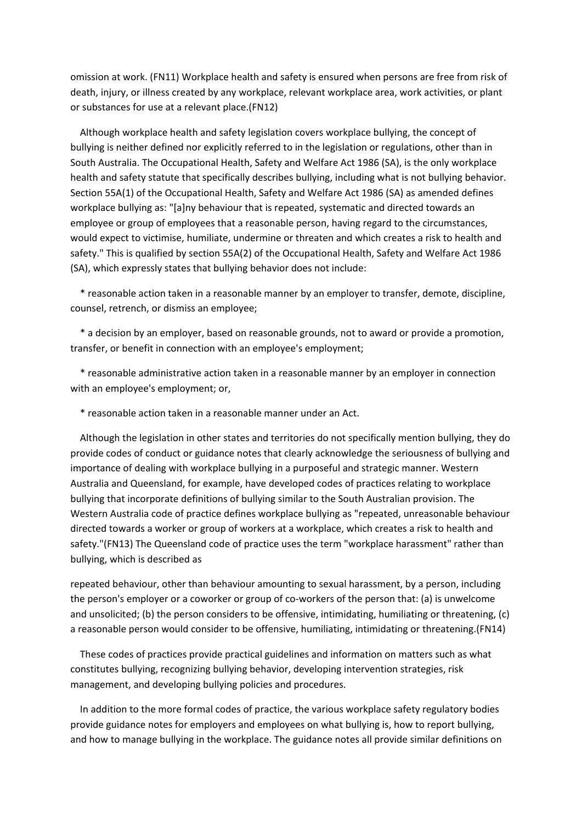omission at work. (FN11) Workplace health and safety is ensured when persons are free from risk of death, injury, or illness created by any workplace, relevant workplace area, work activities, or plant or substances for use at a relevant place.(FN12)

 Although workplace health and safety legislation covers workplace bullying, the concept of bullying is neither defined nor explicitly referred to in the legislation or regulations, other than in South Australia. The Occupational Health, Safety and Welfare Act 1986 (SA), is the only workplace health and safety statute that specifically describes bullying, including what is not bullying behavior. Section 55A(1) of the Occupational Health, Safety and Welfare Act 1986 (SA) as amended defines workplace bullying as: "[a]ny behaviour that is repeated, systematic and directed towards an employee or group of employees that a reasonable person, having regard to the circumstances, would expect to victimise, humiliate, undermine or threaten and which creates a risk to health and safety." This is qualified by section 55A(2) of the Occupational Health, Safety and Welfare Act 1986 (SA), which expressly states that bullying behavior does not include:

 \* reasonable action taken in a reasonable manner by an employer to transfer, demote, discipline, counsel, retrench, or dismiss an employee;

 \* a decision by an employer, based on reasonable grounds, not to award or provide a promotion, transfer, or benefit in connection with an employee's employment;

 \* reasonable administrative action taken in a reasonable manner by an employer in connection with an employee's employment; or,

\* reasonable action taken in a reasonable manner under an Act.

 Although the legislation in other states and territories do not specifically mention bullying, they do provide codes of conduct or guidance notes that clearly acknowledge the seriousness of bullying and importance of dealing with workplace bullying in a purposeful and strategic manner. Western Australia and Queensland, for example, have developed codes of practices relating to workplace bullying that incorporate definitions of bullying similar to the South Australian provision. The Western Australia code of practice defines workplace bullying as "repeated, unreasonable behaviour directed towards a worker or group of workers at a workplace, which creates a risk to health and safety."(FN13) The Queensland code of practice uses the term "workplace harassment" rather than bullying, which is described as

repeated behaviour, other than behaviour amounting to sexual harassment, by a person, including the person's employer or a coworker or group of co-workers of the person that: (a) is unwelcome and unsolicited; (b) the person considers to be offensive, intimidating, humiliating or threatening, (c) a reasonable person would consider to be offensive, humiliating, intimidating or threatening.(FN14)

 These codes of practices provide practical guidelines and information on matters such as what constitutes bullying, recognizing bullying behavior, developing intervention strategies, risk management, and developing bullying policies and procedures.

 In addition to the more formal codes of practice, the various workplace safety regulatory bodies provide guidance notes for employers and employees on what bullying is, how to report bullying, and how to manage bullying in the workplace. The guidance notes all provide similar definitions on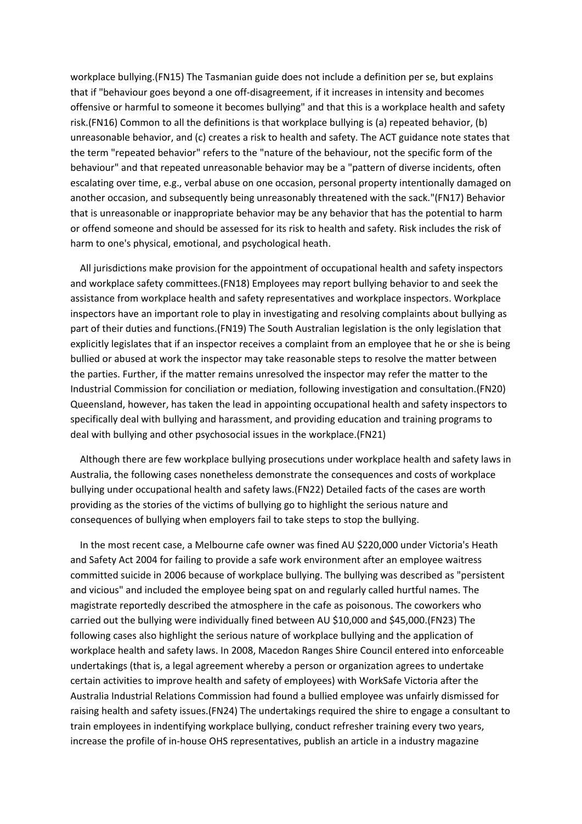workplace bullying.(FN15) The Tasmanian guide does not include a definition per se, but explains that if "behaviour goes beyond a one off-disagreement, if it increases in intensity and becomes offensive or harmful to someone it becomes bullying" and that this is a workplace health and safety risk.(FN16) Common to all the definitions is that workplace bullying is (a) repeated behavior, (b) unreasonable behavior, and (c) creates a risk to health and safety. The ACT guidance note states that the term "repeated behavior" refers to the "nature of the behaviour, not the specific form of the behaviour" and that repeated unreasonable behavior may be a "pattern of diverse incidents, often escalating over time, e.g., verbal abuse on one occasion, personal property intentionally damaged on another occasion, and subsequently being unreasonably threatened with the sack."(FN17) Behavior that is unreasonable or inappropriate behavior may be any behavior that has the potential to harm or offend someone and should be assessed for its risk to health and safety. Risk includes the risk of harm to one's physical, emotional, and psychological heath.

 All jurisdictions make provision for the appointment of occupational health and safety inspectors and workplace safety committees.(FN18) Employees may report bullying behavior to and seek the assistance from workplace health and safety representatives and workplace inspectors. Workplace inspectors have an important role to play in investigating and resolving complaints about bullying as part of their duties and functions.(FN19) The South Australian legislation is the only legislation that explicitly legislates that if an inspector receives a complaint from an employee that he or she is being bullied or abused at work the inspector may take reasonable steps to resolve the matter between the parties. Further, if the matter remains unresolved the inspector may refer the matter to the Industrial Commission for conciliation or mediation, following investigation and consultation.(FN20) Queensland, however, has taken the lead in appointing occupational health and safety inspectors to specifically deal with bullying and harassment, and providing education and training programs to deal with bullying and other psychosocial issues in the workplace.(FN21)

 Although there are few workplace bullying prosecutions under workplace health and safety laws in Australia, the following cases nonetheless demonstrate the consequences and costs of workplace bullying under occupational health and safety laws.(FN22) Detailed facts of the cases are worth providing as the stories of the victims of bullying go to highlight the serious nature and consequences of bullying when employers fail to take steps to stop the bullying.

 In the most recent case, a Melbourne cafe owner was fined AU \$220,000 under Victoria's Heath and Safety Act 2004 for failing to provide a safe work environment after an employee waitress committed suicide in 2006 because of workplace bullying. The bullying was described as "persistent and vicious" and included the employee being spat on and regularly called hurtful names. The magistrate reportedly described the atmosphere in the cafe as poisonous. The coworkers who carried out the bullying were individually fined between AU \$10,000 and \$45,000.(FN23) The following cases also highlight the serious nature of workplace bullying and the application of workplace health and safety laws. In 2008, Macedon Ranges Shire Council entered into enforceable undertakings (that is, a legal agreement whereby a person or organization agrees to undertake certain activities to improve health and safety of employees) with WorkSafe Victoria after the Australia Industrial Relations Commission had found a bullied employee was unfairly dismissed for raising health and safety issues.(FN24) The undertakings required the shire to engage a consultant to train employees in indentifying workplace bullying, conduct refresher training every two years, increase the profile of in-house OHS representatives, publish an article in a industry magazine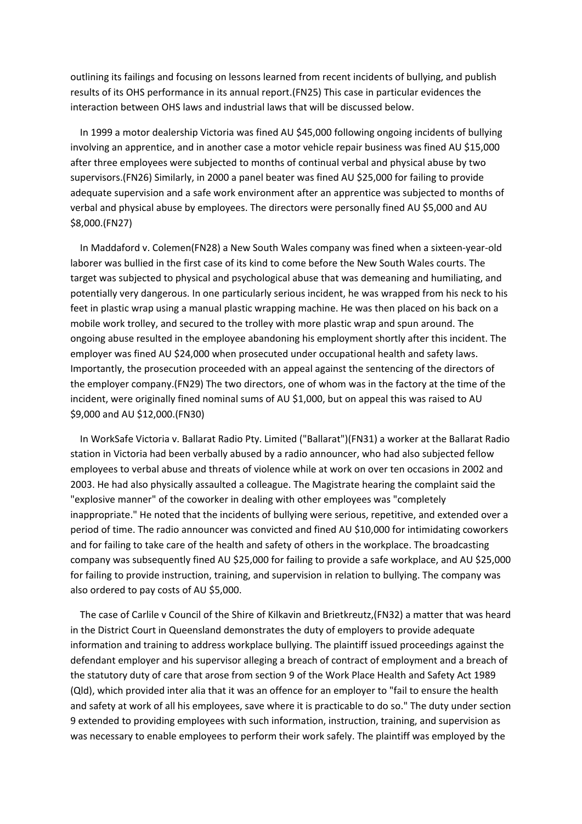outlining its failings and focusing on lessons learned from recent incidents of bullying, and publish results of its OHS performance in its annual report.(FN25) This case in particular evidences the interaction between OHS laws and industrial laws that will be discussed below.

 In 1999 a motor dealership Victoria was fined AU \$45,000 following ongoing incidents of bullying involving an apprentice, and in another case a motor vehicle repair business was fined AU \$15,000 after three employees were subjected to months of continual verbal and physical abuse by two supervisors.(FN26) Similarly, in 2000 a panel beater was fined AU \$25,000 for failing to provide adequate supervision and a safe work environment after an apprentice was subjected to months of verbal and physical abuse by employees. The directors were personally fined AU \$5,000 and AU \$8,000.(FN27)

 In Maddaford v. Colemen(FN28) a New South Wales company was fined when a sixteen-year-old laborer was bullied in the first case of its kind to come before the New South Wales courts. The target was subjected to physical and psychological abuse that was demeaning and humiliating, and potentially very dangerous. In one particularly serious incident, he was wrapped from his neck to his feet in plastic wrap using a manual plastic wrapping machine. He was then placed on his back on a mobile work trolley, and secured to the trolley with more plastic wrap and spun around. The ongoing abuse resulted in the employee abandoning his employment shortly after this incident. The employer was fined AU \$24,000 when prosecuted under occupational health and safety laws. Importantly, the prosecution proceeded with an appeal against the sentencing of the directors of the employer company.(FN29) The two directors, one of whom was in the factory at the time of the incident, were originally fined nominal sums of AU \$1,000, but on appeal this was raised to AU \$9,000 and AU \$12,000.(FN30)

 In WorkSafe Victoria v. Ballarat Radio Pty. Limited ("Ballarat")(FN31) a worker at the Ballarat Radio station in Victoria had been verbally abused by a radio announcer, who had also subjected fellow employees to verbal abuse and threats of violence while at work on over ten occasions in 2002 and 2003. He had also physically assaulted a colleague. The Magistrate hearing the complaint said the "explosive manner" of the coworker in dealing with other employees was "completely inappropriate." He noted that the incidents of bullying were serious, repetitive, and extended over a period of time. The radio announcer was convicted and fined AU \$10,000 for intimidating coworkers and for failing to take care of the health and safety of others in the workplace. The broadcasting company was subsequently fined AU \$25,000 for failing to provide a safe workplace, and AU \$25,000 for failing to provide instruction, training, and supervision in relation to bullying. The company was also ordered to pay costs of AU \$5,000.

 The case of Carlile v Council of the Shire of Kilkavin and Brietkreutz,(FN32) a matter that was heard in the District Court in Queensland demonstrates the duty of employers to provide adequate information and training to address workplace bullying. The plaintiff issued proceedings against the defendant employer and his supervisor alleging a breach of contract of employment and a breach of the statutory duty of care that arose from section 9 of the Work Place Health and Safety Act 1989 (Qld), which provided inter alia that it was an offence for an employer to "fail to ensure the health and safety at work of all his employees, save where it is practicable to do so." The duty under section 9 extended to providing employees with such information, instruction, training, and supervision as was necessary to enable employees to perform their work safely. The plaintiff was employed by the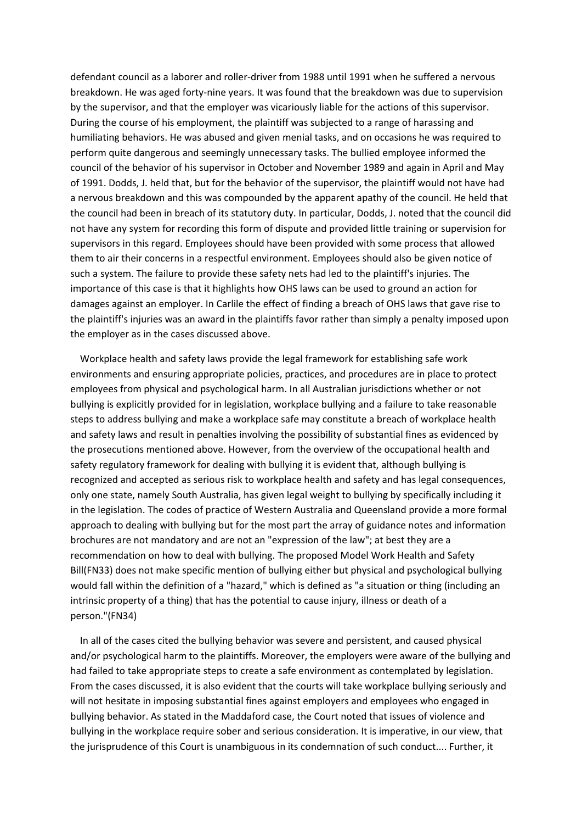defendant council as a laborer and roller-driver from 1988 until 1991 when he suffered a nervous breakdown. He was aged forty-nine years. It was found that the breakdown was due to supervision by the supervisor, and that the employer was vicariously liable for the actions of this supervisor. During the course of his employment, the plaintiff was subjected to a range of harassing and humiliating behaviors. He was abused and given menial tasks, and on occasions he was required to perform quite dangerous and seemingly unnecessary tasks. The bullied employee informed the council of the behavior of his supervisor in October and November 1989 and again in April and May of 1991. Dodds, J. held that, but for the behavior of the supervisor, the plaintiff would not have had a nervous breakdown and this was compounded by the apparent apathy of the council. He held that the council had been in breach of its statutory duty. In particular, Dodds, J. noted that the council did not have any system for recording this form of dispute and provided little training or supervision for supervisors in this regard. Employees should have been provided with some process that allowed them to air their concerns in a respectful environment. Employees should also be given notice of such a system. The failure to provide these safety nets had led to the plaintiff's injuries. The importance of this case is that it highlights how OHS laws can be used to ground an action for damages against an employer. In Carlile the effect of finding a breach of OHS laws that gave rise to the plaintiff's injuries was an award in the plaintiffs favor rather than simply a penalty imposed upon the employer as in the cases discussed above.

 Workplace health and safety laws provide the legal framework for establishing safe work environments and ensuring appropriate policies, practices, and procedures are in place to protect employees from physical and psychological harm. In all Australian jurisdictions whether or not bullying is explicitly provided for in legislation, workplace bullying and a failure to take reasonable steps to address bullying and make a workplace safe may constitute a breach of workplace health and safety laws and result in penalties involving the possibility of substantial fines as evidenced by the prosecutions mentioned above. However, from the overview of the occupational health and safety regulatory framework for dealing with bullying it is evident that, although bullying is recognized and accepted as serious risk to workplace health and safety and has legal consequences, only one state, namely South Australia, has given legal weight to bullying by specifically including it in the legislation. The codes of practice of Western Australia and Queensland provide a more formal approach to dealing with bullying but for the most part the array of guidance notes and information brochures are not mandatory and are not an "expression of the law"; at best they are a recommendation on how to deal with bullying. The proposed Model Work Health and Safety Bill(FN33) does not make specific mention of bullying either but physical and psychological bullying would fall within the definition of a "hazard," which is defined as "a situation or thing (including an intrinsic property of a thing) that has the potential to cause injury, illness or death of a person."(FN34)

 In all of the cases cited the bullying behavior was severe and persistent, and caused physical and/or psychological harm to the plaintiffs. Moreover, the employers were aware of the bullying and had failed to take appropriate steps to create a safe environment as contemplated by legislation. From the cases discussed, it is also evident that the courts will take workplace bullying seriously and will not hesitate in imposing substantial fines against employers and employees who engaged in bullying behavior. As stated in the Maddaford case, the Court noted that issues of violence and bullying in the workplace require sober and serious consideration. It is imperative, in our view, that the jurisprudence of this Court is unambiguous in its condemnation of such conduct.... Further, it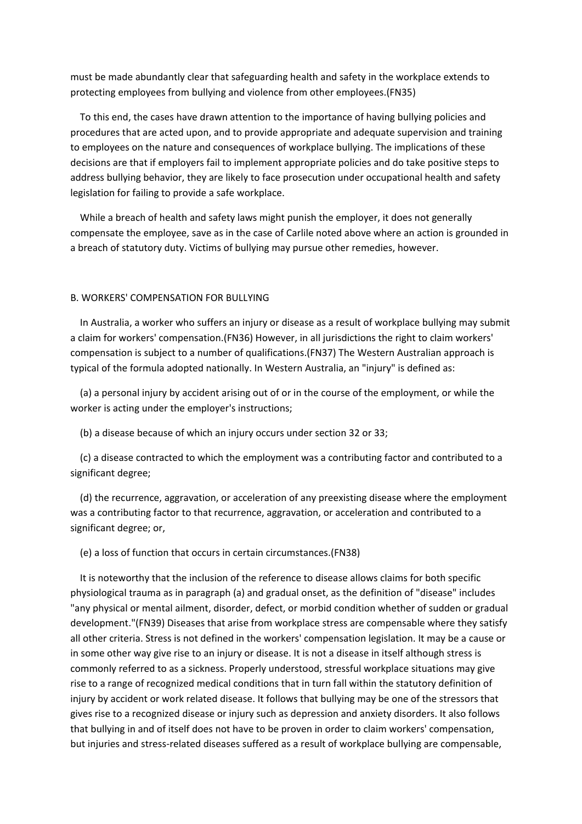must be made abundantly clear that safeguarding health and safety in the workplace extends to protecting employees from bullying and violence from other employees.(FN35)

 To this end, the cases have drawn attention to the importance of having bullying policies and procedures that are acted upon, and to provide appropriate and adequate supervision and training to employees on the nature and consequences of workplace bullying. The implications of these decisions are that if employers fail to implement appropriate policies and do take positive steps to address bullying behavior, they are likely to face prosecution under occupational health and safety legislation for failing to provide a safe workplace.

 While a breach of health and safety laws might punish the employer, it does not generally compensate the employee, save as in the case of Carlile noted above where an action is grounded in a breach of statutory duty. Victims of bullying may pursue other remedies, however.

#### B. WORKERS' COMPENSATION FOR BULLYING

 In Australia, a worker who suffers an injury or disease as a result of workplace bullying may submit a claim for workers' compensation.(FN36) However, in all jurisdictions the right to claim workers' compensation is subject to a number of qualifications.(FN37) The Western Australian approach is typical of the formula adopted nationally. In Western Australia, an "injury" is defined as:

 (a) a personal injury by accident arising out of or in the course of the employment, or while the worker is acting under the employer's instructions;

(b) a disease because of which an injury occurs under section 32 or 33;

 (c) a disease contracted to which the employment was a contributing factor and contributed to a significant degree;

 (d) the recurrence, aggravation, or acceleration of any preexisting disease where the employment was a contributing factor to that recurrence, aggravation, or acceleration and contributed to a significant degree; or,

### (e) a loss of function that occurs in certain circumstances.(FN38)

 It is noteworthy that the inclusion of the reference to disease allows claims for both specific physiological trauma as in paragraph (a) and gradual onset, as the definition of "disease" includes "any physical or mental ailment, disorder, defect, or morbid condition whether of sudden or gradual development."(FN39) Diseases that arise from workplace stress are compensable where they satisfy all other criteria. Stress is not defined in the workers' compensation legislation. It may be a cause or in some other way give rise to an injury or disease. It is not a disease in itself although stress is commonly referred to as a sickness. Properly understood, stressful workplace situations may give rise to a range of recognized medical conditions that in turn fall within the statutory definition of injury by accident or work related disease. It follows that bullying may be one of the stressors that gives rise to a recognized disease or injury such as depression and anxiety disorders. It also follows that bullying in and of itself does not have to be proven in order to claim workers' compensation, but injuries and stress-related diseases suffered as a result of workplace bullying are compensable,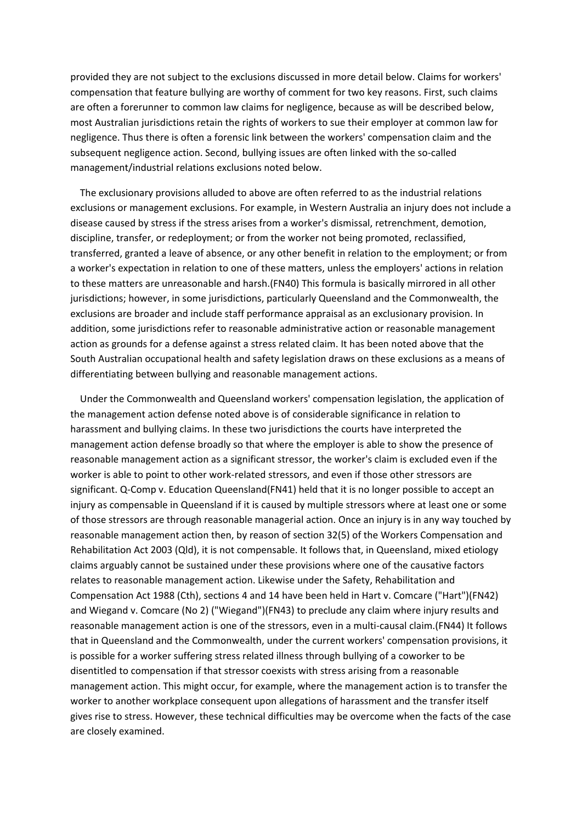provided they are not subject to the exclusions discussed in more detail below. Claims for workers' compensation that feature bullying are worthy of comment for two key reasons. First, such claims are often a forerunner to common law claims for negligence, because as will be described below, most Australian jurisdictions retain the rights of workers to sue their employer at common law for negligence. Thus there is often a forensic link between the workers' compensation claim and the subsequent negligence action. Second, bullying issues are often linked with the so-called management/industrial relations exclusions noted below.

 The exclusionary provisions alluded to above are often referred to as the industrial relations exclusions or management exclusions. For example, in Western Australia an injury does not include a disease caused by stress if the stress arises from a worker's dismissal, retrenchment, demotion, discipline, transfer, or redeployment; or from the worker not being promoted, reclassified, transferred, granted a leave of absence, or any other benefit in relation to the employment; or from a worker's expectation in relation to one of these matters, unless the employers' actions in relation to these matters are unreasonable and harsh.(FN40) This formula is basically mirrored in all other jurisdictions; however, in some jurisdictions, particularly Queensland and the Commonwealth, the exclusions are broader and include staff performance appraisal as an exclusionary provision. In addition, some jurisdictions refer to reasonable administrative action or reasonable management action as grounds for a defense against a stress related claim. It has been noted above that the South Australian occupational health and safety legislation draws on these exclusions as a means of differentiating between bullying and reasonable management actions.

 Under the Commonwealth and Queensland workers' compensation legislation, the application of the management action defense noted above is of considerable significance in relation to harassment and bullying claims. In these two jurisdictions the courts have interpreted the management action defense broadly so that where the employer is able to show the presence of reasonable management action as a significant stressor, the worker's claim is excluded even if the worker is able to point to other work-related stressors, and even if those other stressors are significant. Q-Comp v. Education Queensland(FN41) held that it is no longer possible to accept an injury as compensable in Queensland if it is caused by multiple stressors where at least one or some of those stressors are through reasonable managerial action. Once an injury is in any way touched by reasonable management action then, by reason of section 32(5) of the Workers Compensation and Rehabilitation Act 2003 (Qld), it is not compensable. It follows that, in Queensland, mixed etiology claims arguably cannot be sustained under these provisions where one of the causative factors relates to reasonable management action. Likewise under the Safety, Rehabilitation and Compensation Act 1988 (Cth), sections 4 and 14 have been held in Hart v. Comcare ("Hart")(FN42) and Wiegand v. Comcare (No 2) ("Wiegand")(FN43) to preclude any claim where injury results and reasonable management action is one of the stressors, even in a multi-causal claim.(FN44) It follows that in Queensland and the Commonwealth, under the current workers' compensation provisions, it is possible for a worker suffering stress related illness through bullying of a coworker to be disentitled to compensation if that stressor coexists with stress arising from a reasonable management action. This might occur, for example, where the management action is to transfer the worker to another workplace consequent upon allegations of harassment and the transfer itself gives rise to stress. However, these technical difficulties may be overcome when the facts of the case are closely examined.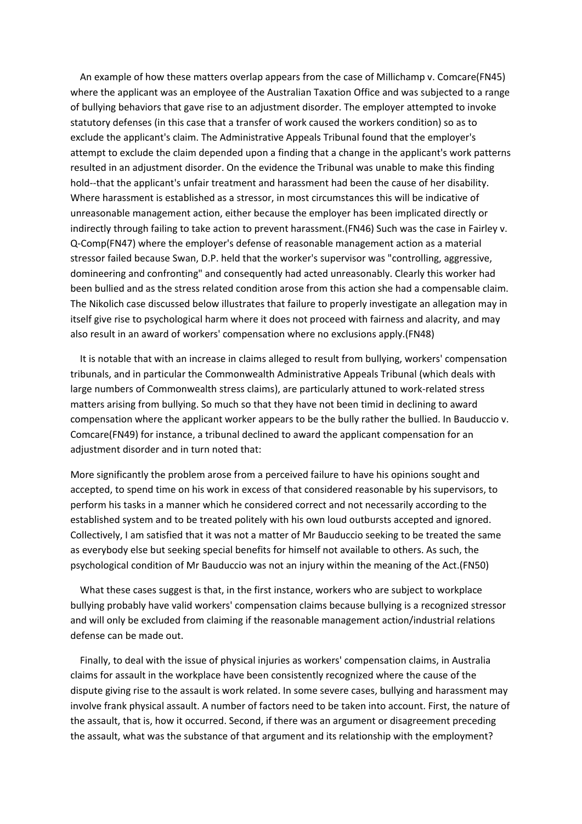An example of how these matters overlap appears from the case of Millichamp v. Comcare(FN45) where the applicant was an employee of the Australian Taxation Office and was subjected to a range of bullying behaviors that gave rise to an adjustment disorder. The employer attempted to invoke statutory defenses (in this case that a transfer of work caused the workers condition) so as to exclude the applicant's claim. The Administrative Appeals Tribunal found that the employer's attempt to exclude the claim depended upon a finding that a change in the applicant's work patterns resulted in an adjustment disorder. On the evidence the Tribunal was unable to make this finding hold--that the applicant's unfair treatment and harassment had been the cause of her disability. Where harassment is established as a stressor, in most circumstances this will be indicative of unreasonable management action, either because the employer has been implicated directly or indirectly through failing to take action to prevent harassment.(FN46) Such was the case in Fairley v. Q-Comp(FN47) where the employer's defense of reasonable management action as a material stressor failed because Swan, D.P. held that the worker's supervisor was "controlling, aggressive, domineering and confronting" and consequently had acted unreasonably. Clearly this worker had been bullied and as the stress related condition arose from this action she had a compensable claim. The Nikolich case discussed below illustrates that failure to properly investigate an allegation may in itself give rise to psychological harm where it does not proceed with fairness and alacrity, and may also result in an award of workers' compensation where no exclusions apply.(FN48)

 It is notable that with an increase in claims alleged to result from bullying, workers' compensation tribunals, and in particular the Commonwealth Administrative Appeals Tribunal (which deals with large numbers of Commonwealth stress claims), are particularly attuned to work-related stress matters arising from bullying. So much so that they have not been timid in declining to award compensation where the applicant worker appears to be the bully rather the bullied. In Bauduccio v. Comcare(FN49) for instance, a tribunal declined to award the applicant compensation for an adjustment disorder and in turn noted that:

More significantly the problem arose from a perceived failure to have his opinions sought and accepted, to spend time on his work in excess of that considered reasonable by his supervisors, to perform his tasks in a manner which he considered correct and not necessarily according to the established system and to be treated politely with his own loud outbursts accepted and ignored. Collectively, I am satisfied that it was not a matter of Mr Bauduccio seeking to be treated the same as everybody else but seeking special benefits for himself not available to others. As such, the psychological condition of Mr Bauduccio was not an injury within the meaning of the Act.(FN50)

 What these cases suggest is that, in the first instance, workers who are subject to workplace bullying probably have valid workers' compensation claims because bullying is a recognized stressor and will only be excluded from claiming if the reasonable management action/industrial relations defense can be made out.

 Finally, to deal with the issue of physical injuries as workers' compensation claims, in Australia claims for assault in the workplace have been consistently recognized where the cause of the dispute giving rise to the assault is work related. In some severe cases, bullying and harassment may involve frank physical assault. A number of factors need to be taken into account. First, the nature of the assault, that is, how it occurred. Second, if there was an argument or disagreement preceding the assault, what was the substance of that argument and its relationship with the employment?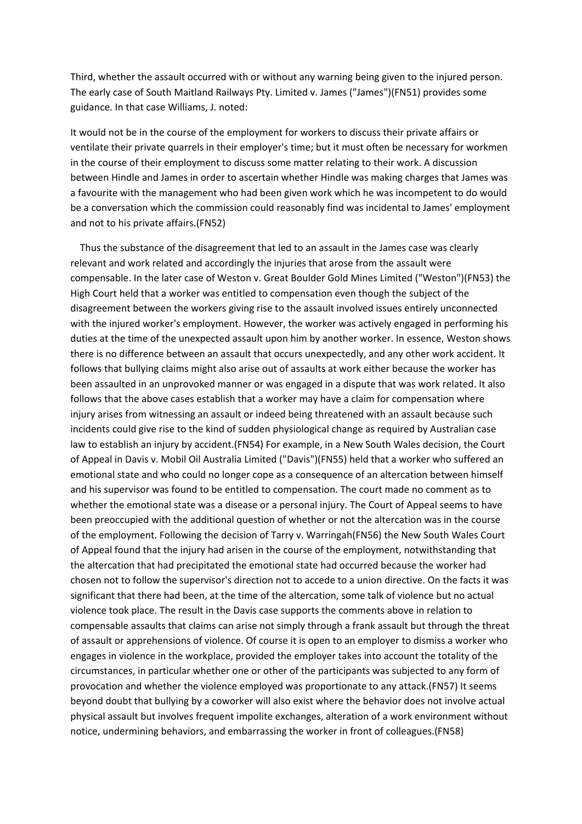Third, whether the assault occurred with or without any warning being given to the injured person. The early case of South Maitland Railways Pty. Limited v. James ("James")(FN51) provides some guidance. In that case Williams, J. noted:

It would not be in the course of the employment for workers to discuss their private affairs or ventilate their private quarrels in their employer's time; but it must often be necessary for workmen in the course of their employment to discuss some matter relating to their work. A discussion between Hindle and James in order to ascertain whether Hindle was making charges that James was a favourite with the management who had been given work which he was incompetent to do would be a conversation which the commission could reasonably find was incidental to James' employment and not to his private affairs.(FN52)

 Thus the substance of the disagreement that led to an assault in the James case was clearly relevant and work related and accordingly the injuries that arose from the assault were compensable. In the later case of Weston v. Great Boulder Gold Mines Limited ("Weston")(FN53) the High Court held that a worker was entitled to compensation even though the subject of the disagreement between the workers giving rise to the assault involved issues entirely unconnected with the injured worker's employment. However, the worker was actively engaged in performing his duties at the time of the unexpected assault upon him by another worker. In essence, Weston shows there is no difference between an assault that occurs unexpectedly, and any other work accident. It follows that bullying claims might also arise out of assaults at work either because the worker has been assaulted in an unprovoked manner or was engaged in a dispute that was work related. It also follows that the above cases establish that a worker may have a claim for compensation where injury arises from witnessing an assault or indeed being threatened with an assault because such incidents could give rise to the kind of sudden physiological change as required by Australian case law to establish an injury by accident.(FN54) For example, in a New South Wales decision, the Court of Appeal in Davis v. Mobil Oil Australia Limited ("Davis")(FN55) held that a worker who suffered an emotional state and who could no longer cope as a consequence of an altercation between himself and his supervisor was found to be entitled to compensation. The court made no comment as to whether the emotional state was a disease or a personal injury. The Court of Appeal seems to have been preoccupied with the additional question of whether or not the altercation was in the course of the employment. Following the decision of Tarry v. Warringah(FN56) the New South Wales Court of Appeal found that the injury had arisen in the course of the employment, notwithstanding that the altercation that had precipitated the emotional state had occurred because the worker had chosen not to follow the supervisor's direction not to accede to a union directive. On the facts it was significant that there had been, at the time of the altercation, some talk of violence but no actual violence took place. The result in the Davis case supports the comments above in relation to compensable assaults that claims can arise not simply through a frank assault but through the threat of assault or apprehensions of violence. Of course it is open to an employer to dismiss a worker who engages in violence in the workplace, provided the employer takes into account the totality of the circumstances, in particular whether one or other of the participants was subjected to any form of provocation and whether the violence employed was proportionate to any attack.(FN57) It seems beyond doubt that bullying by a coworker will also exist where the behavior does not involve actual physical assault but involves frequent impolite exchanges, alteration of a work environment without notice, undermining behaviors, and embarrassing the worker in front of colleagues.(FN58)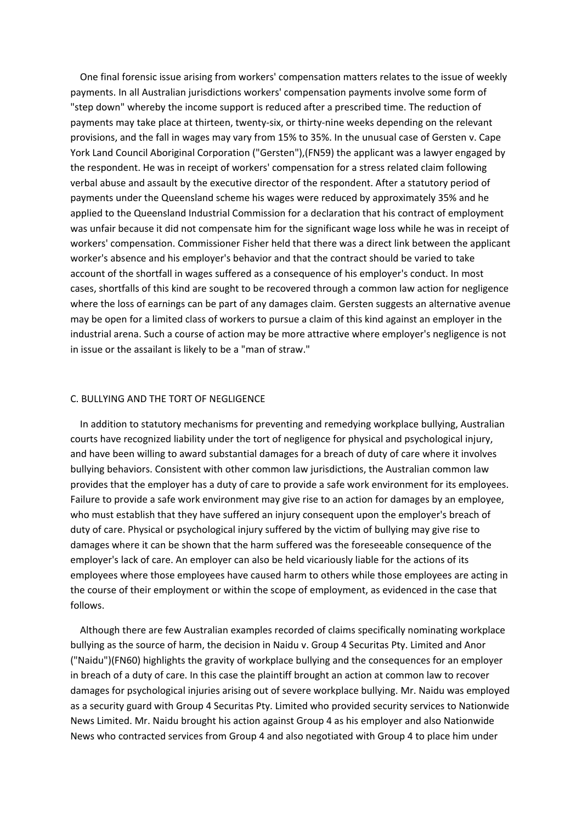One final forensic issue arising from workers' compensation matters relates to the issue of weekly payments. In all Australian jurisdictions workers' compensation payments involve some form of "step down" whereby the income support is reduced after a prescribed time. The reduction of payments may take place at thirteen, twenty-six, or thirty-nine weeks depending on the relevant provisions, and the fall in wages may vary from 15% to 35%. In the unusual case of Gersten v. Cape York Land Council Aboriginal Corporation ("Gersten"),(FN59) the applicant was a lawyer engaged by the respondent. He was in receipt of workers' compensation for a stress related claim following verbal abuse and assault by the executive director of the respondent. After a statutory period of payments under the Queensland scheme his wages were reduced by approximately 35% and he applied to the Queensland Industrial Commission for a declaration that his contract of employment was unfair because it did not compensate him for the significant wage loss while he was in receipt of workers' compensation. Commissioner Fisher held that there was a direct link between the applicant worker's absence and his employer's behavior and that the contract should be varied to take account of the shortfall in wages suffered as a consequence of his employer's conduct. In most cases, shortfalls of this kind are sought to be recovered through a common law action for negligence where the loss of earnings can be part of any damages claim. Gersten suggests an alternative avenue may be open for a limited class of workers to pursue a claim of this kind against an employer in the industrial arena. Such a course of action may be more attractive where employer's negligence is not in issue or the assailant is likely to be a "man of straw."

### C. BULLYING AND THE TORT OF NEGLIGENCE

 In addition to statutory mechanisms for preventing and remedying workplace bullying, Australian courts have recognized liability under the tort of negligence for physical and psychological injury, and have been willing to award substantial damages for a breach of duty of care where it involves bullying behaviors. Consistent with other common law jurisdictions, the Australian common law provides that the employer has a duty of care to provide a safe work environment for its employees. Failure to provide a safe work environment may give rise to an action for damages by an employee, who must establish that they have suffered an injury consequent upon the employer's breach of duty of care. Physical or psychological injury suffered by the victim of bullying may give rise to damages where it can be shown that the harm suffered was the foreseeable consequence of the employer's lack of care. An employer can also be held vicariously liable for the actions of its employees where those employees have caused harm to others while those employees are acting in the course of their employment or within the scope of employment, as evidenced in the case that follows.

 Although there are few Australian examples recorded of claims specifically nominating workplace bullying as the source of harm, the decision in Naidu v. Group 4 Securitas Pty. Limited and Anor ("Naidu")(FN60) highlights the gravity of workplace bullying and the consequences for an employer in breach of a duty of care. In this case the plaintiff brought an action at common law to recover damages for psychological injuries arising out of severe workplace bullying. Mr. Naidu was employed as a security guard with Group 4 Securitas Pty. Limited who provided security services to Nationwide News Limited. Mr. Naidu brought his action against Group 4 as his employer and also Nationwide News who contracted services from Group 4 and also negotiated with Group 4 to place him under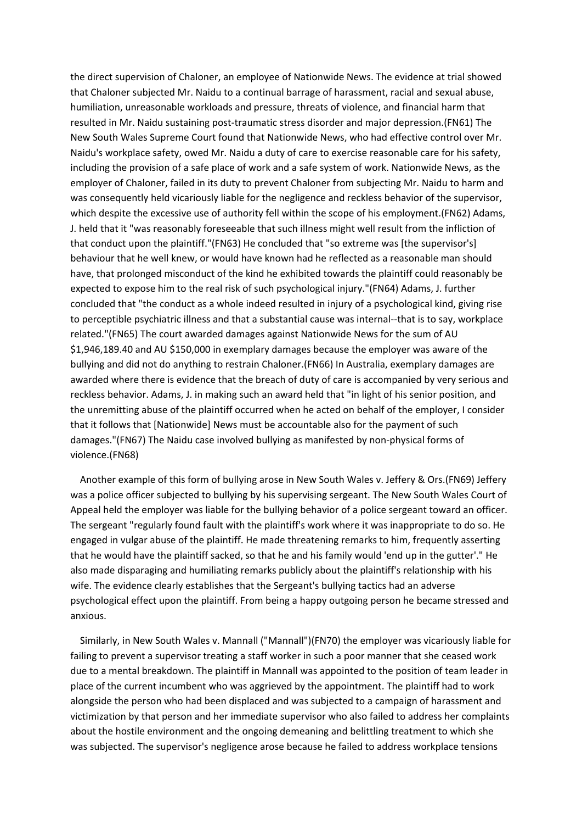the direct supervision of Chaloner, an employee of Nationwide News. The evidence at trial showed that Chaloner subjected Mr. Naidu to a continual barrage of harassment, racial and sexual abuse, humiliation, unreasonable workloads and pressure, threats of violence, and financial harm that resulted in Mr. Naidu sustaining post-traumatic stress disorder and major depression.(FN61) The New South Wales Supreme Court found that Nationwide News, who had effective control over Mr. Naidu's workplace safety, owed Mr. Naidu a duty of care to exercise reasonable care for his safety, including the provision of a safe place of work and a safe system of work. Nationwide News, as the employer of Chaloner, failed in its duty to prevent Chaloner from subjecting Mr. Naidu to harm and was consequently held vicariously liable for the negligence and reckless behavior of the supervisor, which despite the excessive use of authority fell within the scope of his employment.(FN62) Adams, J. held that it "was reasonably foreseeable that such illness might well result from the infliction of that conduct upon the plaintiff."(FN63) He concluded that "so extreme was [the supervisor's] behaviour that he well knew, or would have known had he reflected as a reasonable man should have, that prolonged misconduct of the kind he exhibited towards the plaintiff could reasonably be expected to expose him to the real risk of such psychological injury."(FN64) Adams, J. further concluded that "the conduct as a whole indeed resulted in injury of a psychological kind, giving rise to perceptible psychiatric illness and that a substantial cause was internal--that is to say, workplace related."(FN65) The court awarded damages against Nationwide News for the sum of AU \$1,946,189.40 and AU \$150,000 in exemplary damages because the employer was aware of the bullying and did not do anything to restrain Chaloner.(FN66) In Australia, exemplary damages are awarded where there is evidence that the breach of duty of care is accompanied by very serious and reckless behavior. Adams, J. in making such an award held that "in light of his senior position, and the unremitting abuse of the plaintiff occurred when he acted on behalf of the employer, I consider that it follows that [Nationwide] News must be accountable also for the payment of such damages."(FN67) The Naidu case involved bullying as manifested by non-physical forms of violence.(FN68)

 Another example of this form of bullying arose in New South Wales v. Jeffery & Ors.(FN69) Jeffery was a police officer subjected to bullying by his supervising sergeant. The New South Wales Court of Appeal held the employer was liable for the bullying behavior of a police sergeant toward an officer. The sergeant "regularly found fault with the plaintiff's work where it was inappropriate to do so. He engaged in vulgar abuse of the plaintiff. He made threatening remarks to him, frequently asserting that he would have the plaintiff sacked, so that he and his family would 'end up in the gutter'." He also made disparaging and humiliating remarks publicly about the plaintiff's relationship with his wife. The evidence clearly establishes that the Sergeant's bullying tactics had an adverse psychological effect upon the plaintiff. From being a happy outgoing person he became stressed and anxious.

 Similarly, in New South Wales v. Mannall ("Mannall")(FN70) the employer was vicariously liable for failing to prevent a supervisor treating a staff worker in such a poor manner that she ceased work due to a mental breakdown. The plaintiff in Mannall was appointed to the position of team leader in place of the current incumbent who was aggrieved by the appointment. The plaintiff had to work alongside the person who had been displaced and was subjected to a campaign of harassment and victimization by that person and her immediate supervisor who also failed to address her complaints about the hostile environment and the ongoing demeaning and belittling treatment to which she was subjected. The supervisor's negligence arose because he failed to address workplace tensions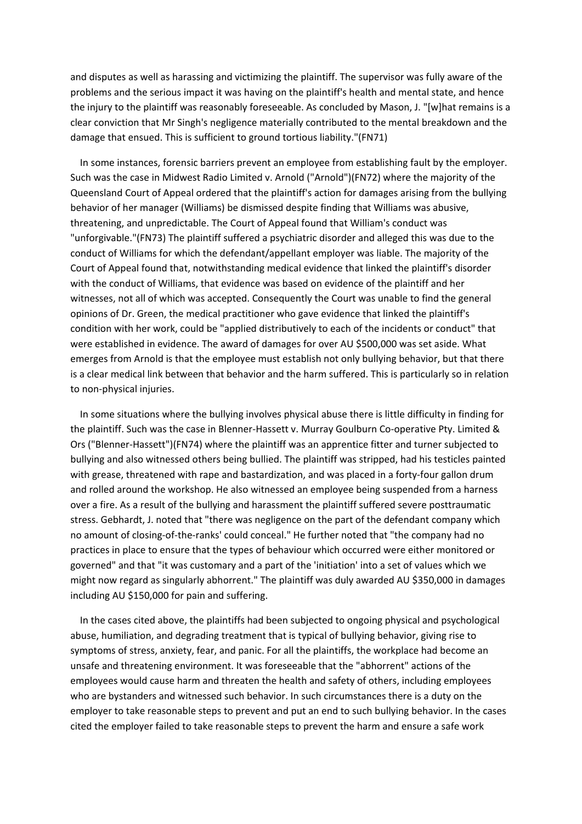and disputes as well as harassing and victimizing the plaintiff. The supervisor was fully aware of the problems and the serious impact it was having on the plaintiff's health and mental state, and hence the injury to the plaintiff was reasonably foreseeable. As concluded by Mason, J. "[w]hat remains is a clear conviction that Mr Singh's negligence materially contributed to the mental breakdown and the damage that ensued. This is sufficient to ground tortious liability."(FN71)

 In some instances, forensic barriers prevent an employee from establishing fault by the employer. Such was the case in Midwest Radio Limited v. Arnold ("Arnold")(FN72) where the majority of the Queensland Court of Appeal ordered that the plaintiff's action for damages arising from the bullying behavior of her manager (Williams) be dismissed despite finding that Williams was abusive, threatening, and unpredictable. The Court of Appeal found that William's conduct was "unforgivable."(FN73) The plaintiff suffered a psychiatric disorder and alleged this was due to the conduct of Williams for which the defendant/appellant employer was liable. The majority of the Court of Appeal found that, notwithstanding medical evidence that linked the plaintiff's disorder with the conduct of Williams, that evidence was based on evidence of the plaintiff and her witnesses, not all of which was accepted. Consequently the Court was unable to find the general opinions of Dr. Green, the medical practitioner who gave evidence that linked the plaintiff's condition with her work, could be "applied distributively to each of the incidents or conduct" that were established in evidence. The award of damages for over AU \$500,000 was set aside. What emerges from Arnold is that the employee must establish not only bullying behavior, but that there is a clear medical link between that behavior and the harm suffered. This is particularly so in relation to non-physical injuries.

 In some situations where the bullying involves physical abuse there is little difficulty in finding for the plaintiff. Such was the case in Blenner-Hassett v. Murray Goulburn Co-operative Pty. Limited & Ors ("Blenner-Hassett")(FN74) where the plaintiff was an apprentice fitter and turner subjected to bullying and also witnessed others being bullied. The plaintiff was stripped, had his testicles painted with grease, threatened with rape and bastardization, and was placed in a forty-four gallon drum and rolled around the workshop. He also witnessed an employee being suspended from a harness over a fire. As a result of the bullying and harassment the plaintiff suffered severe posttraumatic stress. Gebhardt, J. noted that "there was negligence on the part of the defendant company which no amount of closing-of-the-ranks' could conceal." He further noted that "the company had no practices in place to ensure that the types of behaviour which occurred were either monitored or governed" and that "it was customary and a part of the 'initiation' into a set of values which we might now regard as singularly abhorrent." The plaintiff was duly awarded AU \$350,000 in damages including AU \$150,000 for pain and suffering.

 In the cases cited above, the plaintiffs had been subjected to ongoing physical and psychological abuse, humiliation, and degrading treatment that is typical of bullying behavior, giving rise to symptoms of stress, anxiety, fear, and panic. For all the plaintiffs, the workplace had become an unsafe and threatening environment. It was foreseeable that the "abhorrent" actions of the employees would cause harm and threaten the health and safety of others, including employees who are bystanders and witnessed such behavior. In such circumstances there is a duty on the employer to take reasonable steps to prevent and put an end to such bullying behavior. In the cases cited the employer failed to take reasonable steps to prevent the harm and ensure a safe work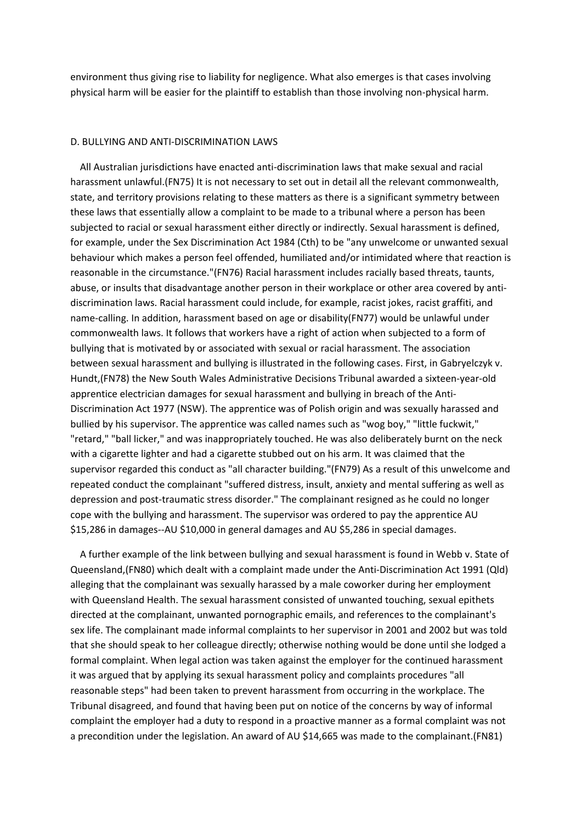environment thus giving rise to liability for negligence. What also emerges is that cases involving physical harm will be easier for the plaintiff to establish than those involving non-physical harm.

#### D. BULLYING AND ANTI-DISCRIMINATION LAWS

 All Australian jurisdictions have enacted anti-discrimination laws that make sexual and racial harassment unlawful.(FN75) It is not necessary to set out in detail all the relevant commonwealth, state, and territory provisions relating to these matters as there is a significant symmetry between these laws that essentially allow a complaint to be made to a tribunal where a person has been subjected to racial or sexual harassment either directly or indirectly. Sexual harassment is defined, for example, under the Sex Discrimination Act 1984 (Cth) to be "any unwelcome or unwanted sexual behaviour which makes a person feel offended, humiliated and/or intimidated where that reaction is reasonable in the circumstance."(FN76) Racial harassment includes racially based threats, taunts, abuse, or insults that disadvantage another person in their workplace or other area covered by antidiscrimination laws. Racial harassment could include, for example, racist jokes, racist graffiti, and name-calling. In addition, harassment based on age or disability(FN77) would be unlawful under commonwealth laws. It follows that workers have a right of action when subjected to a form of bullying that is motivated by or associated with sexual or racial harassment. The association between sexual harassment and bullying is illustrated in the following cases. First, in Gabryelczyk v. Hundt,(FN78) the New South Wales Administrative Decisions Tribunal awarded a sixteen-year-old apprentice electrician damages for sexual harassment and bullying in breach of the Anti-Discrimination Act 1977 (NSW). The apprentice was of Polish origin and was sexually harassed and bullied by his supervisor. The apprentice was called names such as "wog boy," "little fuckwit," "retard," "ball licker," and was inappropriately touched. He was also deliberately burnt on the neck with a cigarette lighter and had a cigarette stubbed out on his arm. It was claimed that the supervisor regarded this conduct as "all character building."(FN79) As a result of this unwelcome and repeated conduct the complainant "suffered distress, insult, anxiety and mental suffering as well as depression and post-traumatic stress disorder." The complainant resigned as he could no longer cope with the bullying and harassment. The supervisor was ordered to pay the apprentice AU \$15,286 in damages--AU \$10,000 in general damages and AU \$5,286 in special damages.

 A further example of the link between bullying and sexual harassment is found in Webb v. State of Queensland,(FN80) which dealt with a complaint made under the Anti-Discrimination Act 1991 (Qld) alleging that the complainant was sexually harassed by a male coworker during her employment with Queensland Health. The sexual harassment consisted of unwanted touching, sexual epithets directed at the complainant, unwanted pornographic emails, and references to the complainant's sex life. The complainant made informal complaints to her supervisor in 2001 and 2002 but was told that she should speak to her colleague directly; otherwise nothing would be done until she lodged a formal complaint. When legal action was taken against the employer for the continued harassment it was argued that by applying its sexual harassment policy and complaints procedures "all reasonable steps" had been taken to prevent harassment from occurring in the workplace. The Tribunal disagreed, and found that having been put on notice of the concerns by way of informal complaint the employer had a duty to respond in a proactive manner as a formal complaint was not a precondition under the legislation. An award of AU \$14,665 was made to the complainant.(FN81)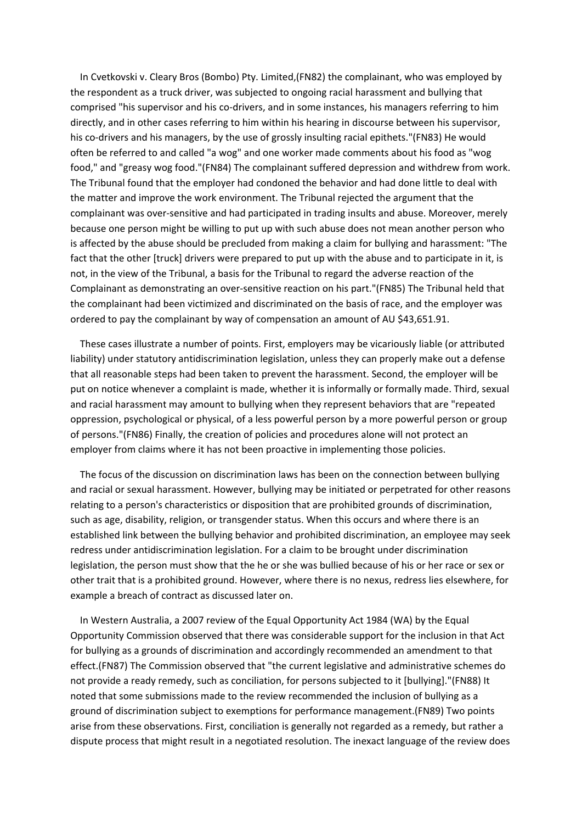In Cvetkovski v. Cleary Bros (Bombo) Pty. Limited,(FN82) the complainant, who was employed by the respondent as a truck driver, was subjected to ongoing racial harassment and bullying that comprised "his supervisor and his co-drivers, and in some instances, his managers referring to him directly, and in other cases referring to him within his hearing in discourse between his supervisor, his co-drivers and his managers, by the use of grossly insulting racial epithets."(FN83) He would often be referred to and called "a wog" and one worker made comments about his food as "wog food," and "greasy wog food."(FN84) The complainant suffered depression and withdrew from work. The Tribunal found that the employer had condoned the behavior and had done little to deal with the matter and improve the work environment. The Tribunal rejected the argument that the complainant was over-sensitive and had participated in trading insults and abuse. Moreover, merely because one person might be willing to put up with such abuse does not mean another person who is affected by the abuse should be precluded from making a claim for bullying and harassment: "The fact that the other [truck] drivers were prepared to put up with the abuse and to participate in it, is not, in the view of the Tribunal, a basis for the Tribunal to regard the adverse reaction of the Complainant as demonstrating an over-sensitive reaction on his part."(FN85) The Tribunal held that the complainant had been victimized and discriminated on the basis of race, and the employer was ordered to pay the complainant by way of compensation an amount of AU \$43,651.91.

 These cases illustrate a number of points. First, employers may be vicariously liable (or attributed liability) under statutory antidiscrimination legislation, unless they can properly make out a defense that all reasonable steps had been taken to prevent the harassment. Second, the employer will be put on notice whenever a complaint is made, whether it is informally or formally made. Third, sexual and racial harassment may amount to bullying when they represent behaviors that are "repeated oppression, psychological or physical, of a less powerful person by a more powerful person or group of persons."(FN86) Finally, the creation of policies and procedures alone will not protect an employer from claims where it has not been proactive in implementing those policies.

 The focus of the discussion on discrimination laws has been on the connection between bullying and racial or sexual harassment. However, bullying may be initiated or perpetrated for other reasons relating to a person's characteristics or disposition that are prohibited grounds of discrimination, such as age, disability, religion, or transgender status. When this occurs and where there is an established link between the bullying behavior and prohibited discrimination, an employee may seek redress under antidiscrimination legislation. For a claim to be brought under discrimination legislation, the person must show that the he or she was bullied because of his or her race or sex or other trait that is a prohibited ground. However, where there is no nexus, redress lies elsewhere, for example a breach of contract as discussed later on.

 In Western Australia, a 2007 review of the Equal Opportunity Act 1984 (WA) by the Equal Opportunity Commission observed that there was considerable support for the inclusion in that Act for bullying as a grounds of discrimination and accordingly recommended an amendment to that effect.(FN87) The Commission observed that "the current legislative and administrative schemes do not provide a ready remedy, such as conciliation, for persons subjected to it [bullying]."(FN88) It noted that some submissions made to the review recommended the inclusion of bullying as a ground of discrimination subject to exemptions for performance management.(FN89) Two points arise from these observations. First, conciliation is generally not regarded as a remedy, but rather a dispute process that might result in a negotiated resolution. The inexact language of the review does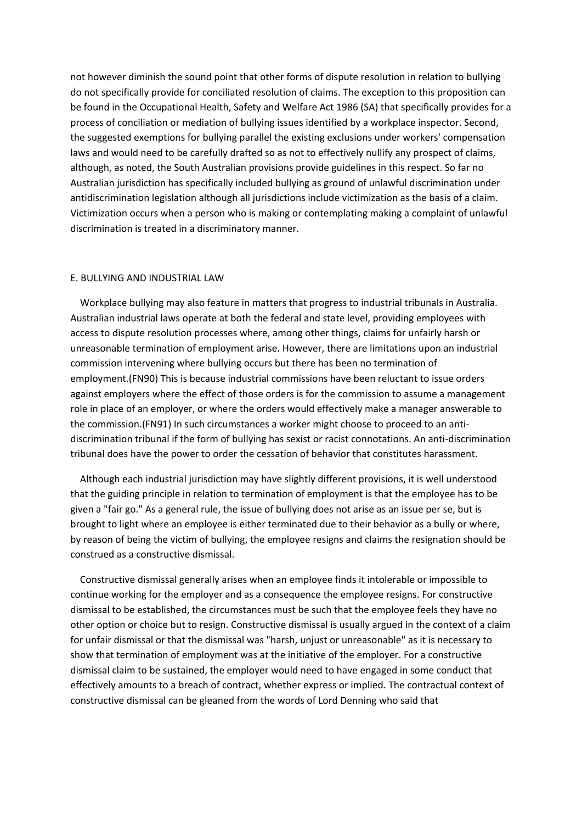not however diminish the sound point that other forms of dispute resolution in relation to bullying do not specifically provide for conciliated resolution of claims. The exception to this proposition can be found in the Occupational Health, Safety and Welfare Act 1986 (SA) that specifically provides for a process of conciliation or mediation of bullying issues identified by a workplace inspector. Second, the suggested exemptions for bullying parallel the existing exclusions under workers' compensation laws and would need to be carefully drafted so as not to effectively nullify any prospect of claims, although, as noted, the South Australian provisions provide guidelines in this respect. So far no Australian jurisdiction has specifically included bullying as ground of unlawful discrimination under antidiscrimination legislation although all jurisdictions include victimization as the basis of a claim. Victimization occurs when a person who is making or contemplating making a complaint of unlawful discrimination is treated in a discriminatory manner.

# E. BULLYING AND INDUSTRIAL LAW

 Workplace bullying may also feature in matters that progress to industrial tribunals in Australia. Australian industrial laws operate at both the federal and state level, providing employees with access to dispute resolution processes where, among other things, claims for unfairly harsh or unreasonable termination of employment arise. However, there are limitations upon an industrial commission intervening where bullying occurs but there has been no termination of employment.(FN90) This is because industrial commissions have been reluctant to issue orders against employers where the effect of those orders is for the commission to assume a management role in place of an employer, or where the orders would effectively make a manager answerable to the commission.(FN91) In such circumstances a worker might choose to proceed to an antidiscrimination tribunal if the form of bullying has sexist or racist connotations. An anti-discrimination tribunal does have the power to order the cessation of behavior that constitutes harassment.

 Although each industrial jurisdiction may have slightly different provisions, it is well understood that the guiding principle in relation to termination of employment is that the employee has to be given a "fair go." As a general rule, the issue of bullying does not arise as an issue per se, but is brought to light where an employee is either terminated due to their behavior as a bully or where, by reason of being the victim of bullying, the employee resigns and claims the resignation should be construed as a constructive dismissal.

 Constructive dismissal generally arises when an employee finds it intolerable or impossible to continue working for the employer and as a consequence the employee resigns. For constructive dismissal to be established, the circumstances must be such that the employee feels they have no other option or choice but to resign. Constructive dismissal is usually argued in the context of a claim for unfair dismissal or that the dismissal was "harsh, unjust or unreasonable" as it is necessary to show that termination of employment was at the initiative of the employer. For a constructive dismissal claim to be sustained, the employer would need to have engaged in some conduct that effectively amounts to a breach of contract, whether express or implied. The contractual context of constructive dismissal can be gleaned from the words of Lord Denning who said that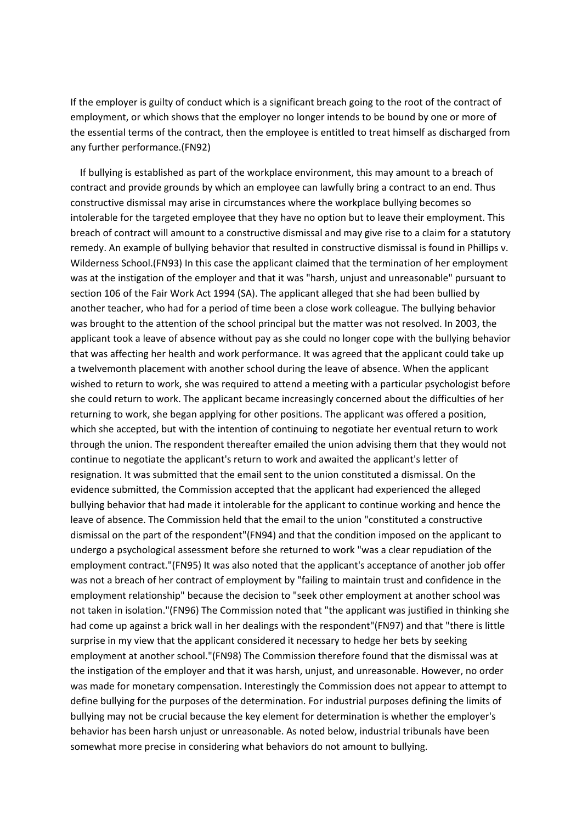If the employer is guilty of conduct which is a significant breach going to the root of the contract of employment, or which shows that the employer no longer intends to be bound by one or more of the essential terms of the contract, then the employee is entitled to treat himself as discharged from any further performance.(FN92)

 If bullying is established as part of the workplace environment, this may amount to a breach of contract and provide grounds by which an employee can lawfully bring a contract to an end. Thus constructive dismissal may arise in circumstances where the workplace bullying becomes so intolerable for the targeted employee that they have no option but to leave their employment. This breach of contract will amount to a constructive dismissal and may give rise to a claim for a statutory remedy. An example of bullying behavior that resulted in constructive dismissal is found in Phillips v. Wilderness School.(FN93) In this case the applicant claimed that the termination of her employment was at the instigation of the employer and that it was "harsh, unjust and unreasonable" pursuant to section 106 of the Fair Work Act 1994 (SA). The applicant alleged that she had been bullied by another teacher, who had for a period of time been a close work colleague. The bullying behavior was brought to the attention of the school principal but the matter was not resolved. In 2003, the applicant took a leave of absence without pay as she could no longer cope with the bullying behavior that was affecting her health and work performance. It was agreed that the applicant could take up a twelvemonth placement with another school during the leave of absence. When the applicant wished to return to work, she was required to attend a meeting with a particular psychologist before she could return to work. The applicant became increasingly concerned about the difficulties of her returning to work, she began applying for other positions. The applicant was offered a position, which she accepted, but with the intention of continuing to negotiate her eventual return to work through the union. The respondent thereafter emailed the union advising them that they would not continue to negotiate the applicant's return to work and awaited the applicant's letter of resignation. It was submitted that the email sent to the union constituted a dismissal. On the evidence submitted, the Commission accepted that the applicant had experienced the alleged bullying behavior that had made it intolerable for the applicant to continue working and hence the leave of absence. The Commission held that the email to the union "constituted a constructive dismissal on the part of the respondent"(FN94) and that the condition imposed on the applicant to undergo a psychological assessment before she returned to work "was a clear repudiation of the employment contract."(FN95) It was also noted that the applicant's acceptance of another job offer was not a breach of her contract of employment by "failing to maintain trust and confidence in the employment relationship" because the decision to "seek other employment at another school was not taken in isolation."(FN96) The Commission noted that "the applicant was justified in thinking she had come up against a brick wall in her dealings with the respondent"(FN97) and that "there is little surprise in my view that the applicant considered it necessary to hedge her bets by seeking employment at another school."(FN98) The Commission therefore found that the dismissal was at the instigation of the employer and that it was harsh, unjust, and unreasonable. However, no order was made for monetary compensation. Interestingly the Commission does not appear to attempt to define bullying for the purposes of the determination. For industrial purposes defining the limits of bullying may not be crucial because the key element for determination is whether the employer's behavior has been harsh unjust or unreasonable. As noted below, industrial tribunals have been somewhat more precise in considering what behaviors do not amount to bullying.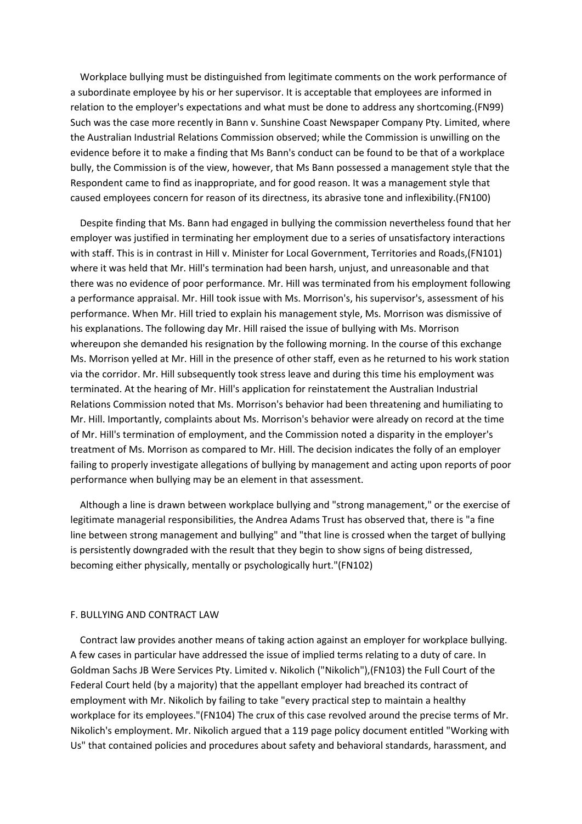Workplace bullying must be distinguished from legitimate comments on the work performance of a subordinate employee by his or her supervisor. It is acceptable that employees are informed in relation to the employer's expectations and what must be done to address any shortcoming.(FN99) Such was the case more recently in Bann v. Sunshine Coast Newspaper Company Pty. Limited, where the Australian Industrial Relations Commission observed; while the Commission is unwilling on the evidence before it to make a finding that Ms Bann's conduct can be found to be that of a workplace bully, the Commission is of the view, however, that Ms Bann possessed a management style that the Respondent came to find as inappropriate, and for good reason. It was a management style that caused employees concern for reason of its directness, its abrasive tone and inflexibility.(FN100)

 Despite finding that Ms. Bann had engaged in bullying the commission nevertheless found that her employer was justified in terminating her employment due to a series of unsatisfactory interactions with staff. This is in contrast in Hill v. Minister for Local Government, Territories and Roads,(FN101) where it was held that Mr. Hill's termination had been harsh, unjust, and unreasonable and that there was no evidence of poor performance. Mr. Hill was terminated from his employment following a performance appraisal. Mr. Hill took issue with Ms. Morrison's, his supervisor's, assessment of his performance. When Mr. Hill tried to explain his management style, Ms. Morrison was dismissive of his explanations. The following day Mr. Hill raised the issue of bullying with Ms. Morrison whereupon she demanded his resignation by the following morning. In the course of this exchange Ms. Morrison yelled at Mr. Hill in the presence of other staff, even as he returned to his work station via the corridor. Mr. Hill subsequently took stress leave and during this time his employment was terminated. At the hearing of Mr. Hill's application for reinstatement the Australian Industrial Relations Commission noted that Ms. Morrison's behavior had been threatening and humiliating to Mr. Hill. Importantly, complaints about Ms. Morrison's behavior were already on record at the time of Mr. Hill's termination of employment, and the Commission noted a disparity in the employer's treatment of Ms. Morrison as compared to Mr. Hill. The decision indicates the folly of an employer failing to properly investigate allegations of bullying by management and acting upon reports of poor performance when bullying may be an element in that assessment.

 Although a line is drawn between workplace bullying and "strong management," or the exercise of legitimate managerial responsibilities, the Andrea Adams Trust has observed that, there is "a fine line between strong management and bullying" and "that line is crossed when the target of bullying is persistently downgraded with the result that they begin to show signs of being distressed, becoming either physically, mentally or psychologically hurt."(FN102)

#### F. BULLYING AND CONTRACT LAW

 Contract law provides another means of taking action against an employer for workplace bullying. A few cases in particular have addressed the issue of implied terms relating to a duty of care. In Goldman Sachs JB Were Services Pty. Limited v. Nikolich ("Nikolich"),(FN103) the Full Court of the Federal Court held (by a majority) that the appellant employer had breached its contract of employment with Mr. Nikolich by failing to take "every practical step to maintain a healthy workplace for its employees."(FN104) The crux of this case revolved around the precise terms of Mr. Nikolich's employment. Mr. Nikolich argued that a 119 page policy document entitled "Working with Us" that contained policies and procedures about safety and behavioral standards, harassment, and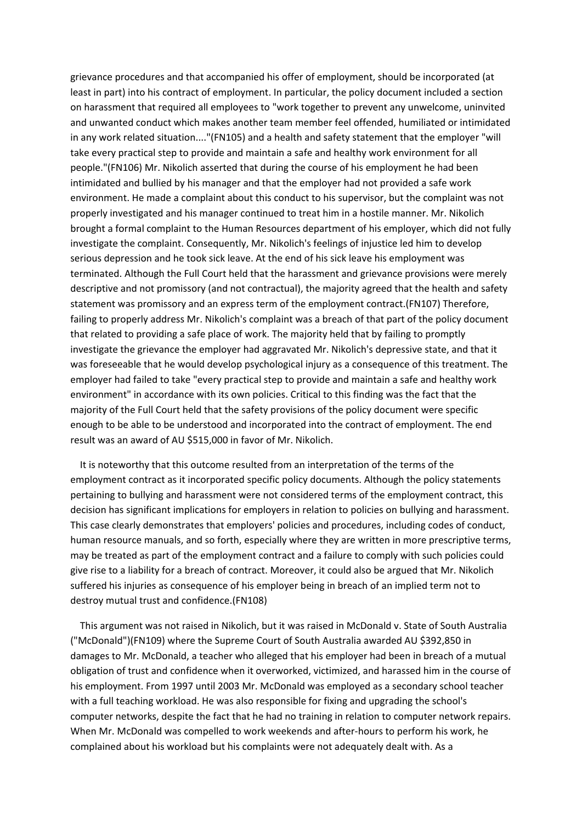grievance procedures and that accompanied his offer of employment, should be incorporated (at least in part) into his contract of employment. In particular, the policy document included a section on harassment that required all employees to "work together to prevent any unwelcome, uninvited and unwanted conduct which makes another team member feel offended, humiliated or intimidated in any work related situation...."(FN105) and a health and safety statement that the employer "will take every practical step to provide and maintain a safe and healthy work environment for all people."(FN106) Mr. Nikolich asserted that during the course of his employment he had been intimidated and bullied by his manager and that the employer had not provided a safe work environment. He made a complaint about this conduct to his supervisor, but the complaint was not properly investigated and his manager continued to treat him in a hostile manner. Mr. Nikolich brought a formal complaint to the Human Resources department of his employer, which did not fully investigate the complaint. Consequently, Mr. Nikolich's feelings of injustice led him to develop serious depression and he took sick leave. At the end of his sick leave his employment was terminated. Although the Full Court held that the harassment and grievance provisions were merely descriptive and not promissory (and not contractual), the majority agreed that the health and safety statement was promissory and an express term of the employment contract.(FN107) Therefore, failing to properly address Mr. Nikolich's complaint was a breach of that part of the policy document that related to providing a safe place of work. The majority held that by failing to promptly investigate the grievance the employer had aggravated Mr. Nikolich's depressive state, and that it was foreseeable that he would develop psychological injury as a consequence of this treatment. The employer had failed to take "every practical step to provide and maintain a safe and healthy work environment" in accordance with its own policies. Critical to this finding was the fact that the majority of the Full Court held that the safety provisions of the policy document were specific enough to be able to be understood and incorporated into the contract of employment. The end result was an award of AU \$515,000 in favor of Mr. Nikolich.

 It is noteworthy that this outcome resulted from an interpretation of the terms of the employment contract as it incorporated specific policy documents. Although the policy statements pertaining to bullying and harassment were not considered terms of the employment contract, this decision has significant implications for employers in relation to policies on bullying and harassment. This case clearly demonstrates that employers' policies and procedures, including codes of conduct, human resource manuals, and so forth, especially where they are written in more prescriptive terms, may be treated as part of the employment contract and a failure to comply with such policies could give rise to a liability for a breach of contract. Moreover, it could also be argued that Mr. Nikolich suffered his injuries as consequence of his employer being in breach of an implied term not to destroy mutual trust and confidence.(FN108)

 This argument was not raised in Nikolich, but it was raised in McDonald v. State of South Australia ("McDonald")(FN109) where the Supreme Court of South Australia awarded AU \$392,850 in damages to Mr. McDonald, a teacher who alleged that his employer had been in breach of a mutual obligation of trust and confidence when it overworked, victimized, and harassed him in the course of his employment. From 1997 until 2003 Mr. McDonald was employed as a secondary school teacher with a full teaching workload. He was also responsible for fixing and upgrading the school's computer networks, despite the fact that he had no training in relation to computer network repairs. When Mr. McDonald was compelled to work weekends and after-hours to perform his work, he complained about his workload but his complaints were not adequately dealt with. As a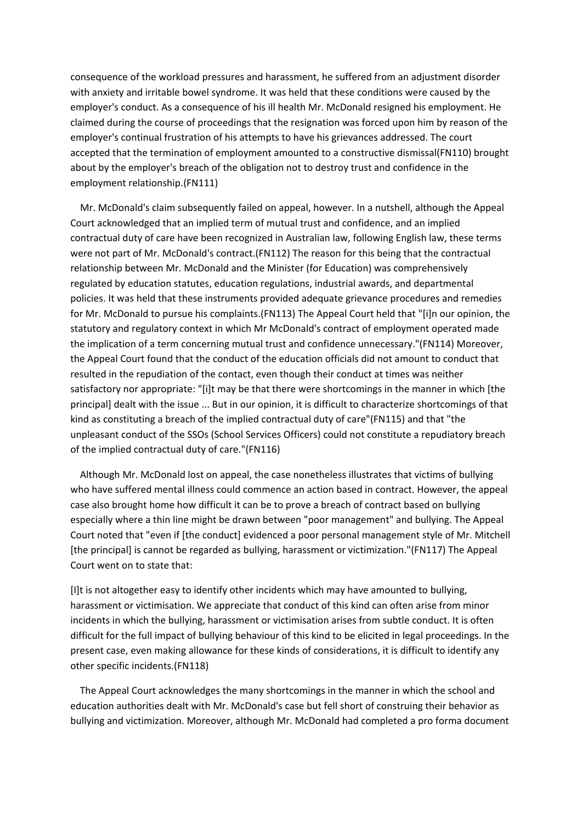consequence of the workload pressures and harassment, he suffered from an adjustment disorder with anxiety and irritable bowel syndrome. It was held that these conditions were caused by the employer's conduct. As a consequence of his ill health Mr. McDonald resigned his employment. He claimed during the course of proceedings that the resignation was forced upon him by reason of the employer's continual frustration of his attempts to have his grievances addressed. The court accepted that the termination of employment amounted to a constructive dismissal(FN110) brought about by the employer's breach of the obligation not to destroy trust and confidence in the employment relationship.(FN111)

 Mr. McDonald's claim subsequently failed on appeal, however. In a nutshell, although the Appeal Court acknowledged that an implied term of mutual trust and confidence, and an implied contractual duty of care have been recognized in Australian law, following English law, these terms were not part of Mr. McDonald's contract.(FN112) The reason for this being that the contractual relationship between Mr. McDonald and the Minister (for Education) was comprehensively regulated by education statutes, education regulations, industrial awards, and departmental policies. It was held that these instruments provided adequate grievance procedures and remedies for Mr. McDonald to pursue his complaints.(FN113) The Appeal Court held that "[i]n our opinion, the statutory and regulatory context in which Mr McDonald's contract of employment operated made the implication of a term concerning mutual trust and confidence unnecessary."(FN114) Moreover, the Appeal Court found that the conduct of the education officials did not amount to conduct that resulted in the repudiation of the contact, even though their conduct at times was neither satisfactory nor appropriate: "[i]t may be that there were shortcomings in the manner in which [the principal] dealt with the issue ... But in our opinion, it is difficult to characterize shortcomings of that kind as constituting a breach of the implied contractual duty of care"(FN115) and that "the unpleasant conduct of the SSOs (School Services Officers) could not constitute a repudiatory breach of the implied contractual duty of care."(FN116)

 Although Mr. McDonald lost on appeal, the case nonetheless illustrates that victims of bullying who have suffered mental illness could commence an action based in contract. However, the appeal case also brought home how difficult it can be to prove a breach of contract based on bullying especially where a thin line might be drawn between "poor management" and bullying. The Appeal Court noted that "even if [the conduct] evidenced a poor personal management style of Mr. Mitchell [the principal] is cannot be regarded as bullying, harassment or victimization."(FN117) The Appeal Court went on to state that:

[I]t is not altogether easy to identify other incidents which may have amounted to bullying, harassment or victimisation. We appreciate that conduct of this kind can often arise from minor incidents in which the bullying, harassment or victimisation arises from subtle conduct. It is often difficult for the full impact of bullying behaviour of this kind to be elicited in legal proceedings. In the present case, even making allowance for these kinds of considerations, it is difficult to identify any other specific incidents.(FN118)

 The Appeal Court acknowledges the many shortcomings in the manner in which the school and education authorities dealt with Mr. McDonald's case but fell short of construing their behavior as bullying and victimization. Moreover, although Mr. McDonald had completed a pro forma document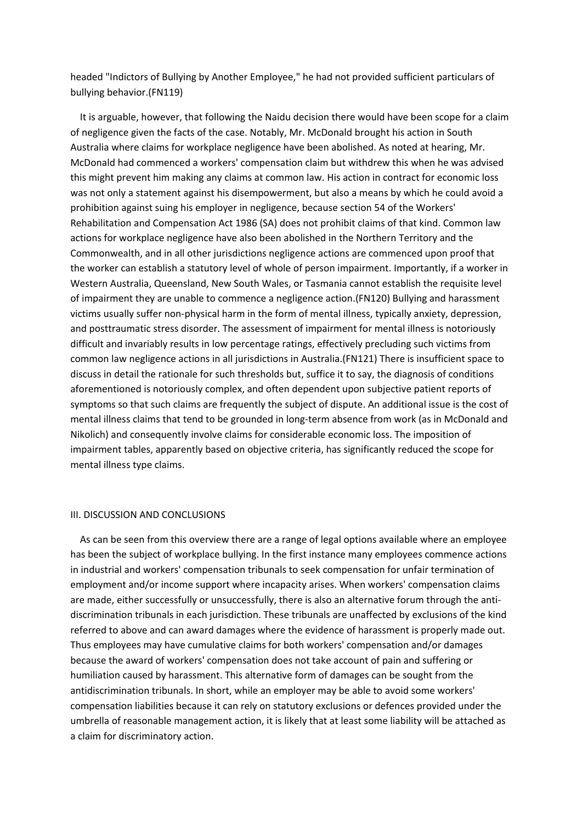headed "Indictors of Bullying by Another Employee," he had not provided sufficient particulars of bullying behavior.(FN119)

 It is arguable, however, that following the Naidu decision there would have been scope for a claim of negligence given the facts of the case. Notably, Mr. McDonald brought his action in South Australia where claims for workplace negligence have been abolished. As noted at hearing, Mr. McDonald had commenced a workers' compensation claim but withdrew this when he was advised this might prevent him making any claims at common law. His action in contract for economic loss was not only a statement against his disempowerment, but also a means by which he could avoid a prohibition against suing his employer in negligence, because section 54 of the Workers' Rehabilitation and Compensation Act 1986 (SA) does not prohibit claims of that kind. Common law actions for workplace negligence have also been abolished in the Northern Territory and the Commonwealth, and in all other jurisdictions negligence actions are commenced upon proof that the worker can establish a statutory level of whole of person impairment. Importantly, if a worker in Western Australia, Queensland, New South Wales, or Tasmania cannot establish the requisite level of impairment they are unable to commence a negligence action.(FN120) Bullying and harassment victims usually suffer non-physical harm in the form of mental illness, typically anxiety, depression, and posttraumatic stress disorder. The assessment of impairment for mental illness is notoriously difficult and invariably results in low percentage ratings, effectively precluding such victims from common law negligence actions in all jurisdictions in Australia.(FN121) There is insufficient space to discuss in detail the rationale for such thresholds but, suffice it to say, the diagnosis of conditions aforementioned is notoriously complex, and often dependent upon subjective patient reports of symptoms so that such claims are frequently the subject of dispute. An additional issue is the cost of mental illness claims that tend to be grounded in long-term absence from work (as in McDonald and Nikolich) and consequently involve claims for considerable economic loss. The imposition of impairment tables, apparently based on objective criteria, has significantly reduced the scope for mental illness type claims.

### III. DISCUSSION AND CONCLUSIONS

 As can be seen from this overview there are a range of legal options available where an employee has been the subject of workplace bullying. In the first instance many employees commence actions in industrial and workers' compensation tribunals to seek compensation for unfair termination of employment and/or income support where incapacity arises. When workers' compensation claims are made, either successfully or unsuccessfully, there is also an alternative forum through the antidiscrimination tribunals in each jurisdiction. These tribunals are unaffected by exclusions of the kind referred to above and can award damages where the evidence of harassment is properly made out. Thus employees may have cumulative claims for both workers' compensation and/or damages because the award of workers' compensation does not take account of pain and suffering or humiliation caused by harassment. This alternative form of damages can be sought from the antidiscrimination tribunals. In short, while an employer may be able to avoid some workers' compensation liabilities because it can rely on statutory exclusions or defences provided under the umbrella of reasonable management action, it is likely that at least some liability will be attached as a claim for discriminatory action.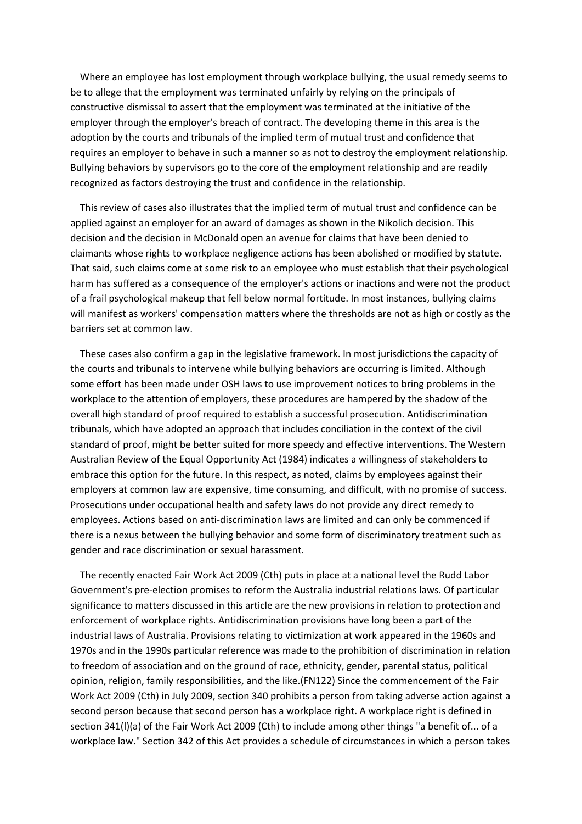Where an employee has lost employment through workplace bullying, the usual remedy seems to be to allege that the employment was terminated unfairly by relying on the principals of constructive dismissal to assert that the employment was terminated at the initiative of the employer through the employer's breach of contract. The developing theme in this area is the adoption by the courts and tribunals of the implied term of mutual trust and confidence that requires an employer to behave in such a manner so as not to destroy the employment relationship. Bullying behaviors by supervisors go to the core of the employment relationship and are readily recognized as factors destroying the trust and confidence in the relationship.

 This review of cases also illustrates that the implied term of mutual trust and confidence can be applied against an employer for an award of damages as shown in the Nikolich decision. This decision and the decision in McDonald open an avenue for claims that have been denied to claimants whose rights to workplace negligence actions has been abolished or modified by statute. That said, such claims come at some risk to an employee who must establish that their psychological harm has suffered as a consequence of the employer's actions or inactions and were not the product of a frail psychological makeup that fell below normal fortitude. In most instances, bullying claims will manifest as workers' compensation matters where the thresholds are not as high or costly as the barriers set at common law.

 These cases also confirm a gap in the legislative framework. In most jurisdictions the capacity of the courts and tribunals to intervene while bullying behaviors are occurring is limited. Although some effort has been made under OSH laws to use improvement notices to bring problems in the workplace to the attention of employers, these procedures are hampered by the shadow of the overall high standard of proof required to establish a successful prosecution. Antidiscrimination tribunals, which have adopted an approach that includes conciliation in the context of the civil standard of proof, might be better suited for more speedy and effective interventions. The Western Australian Review of the Equal Opportunity Act (1984) indicates a willingness of stakeholders to embrace this option for the future. In this respect, as noted, claims by employees against their employers at common law are expensive, time consuming, and difficult, with no promise of success. Prosecutions under occupational health and safety laws do not provide any direct remedy to employees. Actions based on anti-discrimination laws are limited and can only be commenced if there is a nexus between the bullying behavior and some form of discriminatory treatment such as gender and race discrimination or sexual harassment.

 The recently enacted Fair Work Act 2009 (Cth) puts in place at a national level the Rudd Labor Government's pre-election promises to reform the Australia industrial relations laws. Of particular significance to matters discussed in this article are the new provisions in relation to protection and enforcement of workplace rights. Antidiscrimination provisions have long been a part of the industrial laws of Australia. Provisions relating to victimization at work appeared in the 1960s and 1970s and in the 1990s particular reference was made to the prohibition of discrimination in relation to freedom of association and on the ground of race, ethnicity, gender, parental status, political opinion, religion, family responsibilities, and the like.(FN122) Since the commencement of the Fair Work Act 2009 (Cth) in July 2009, section 340 prohibits a person from taking adverse action against a second person because that second person has a workplace right. A workplace right is defined in section 341(l)(a) of the Fair Work Act 2009 (Cth) to include among other things "a benefit of... of a workplace law." Section 342 of this Act provides a schedule of circumstances in which a person takes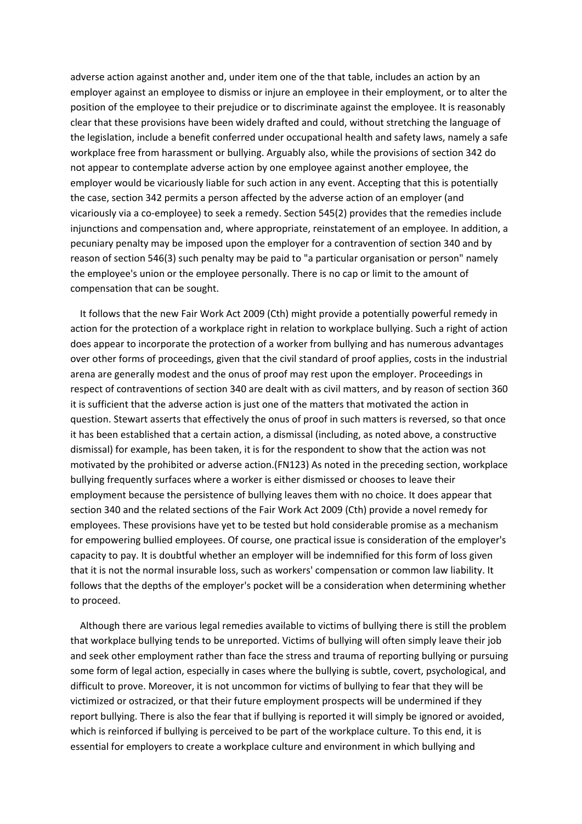adverse action against another and, under item one of the that table, includes an action by an employer against an employee to dismiss or injure an employee in their employment, or to alter the position of the employee to their prejudice or to discriminate against the employee. It is reasonably clear that these provisions have been widely drafted and could, without stretching the language of the legislation, include a benefit conferred under occupational health and safety laws, namely a safe workplace free from harassment or bullying. Arguably also, while the provisions of section 342 do not appear to contemplate adverse action by one employee against another employee, the employer would be vicariously liable for such action in any event. Accepting that this is potentially the case, section 342 permits a person affected by the adverse action of an employer (and vicariously via a co-employee) to seek a remedy. Section 545(2) provides that the remedies include injunctions and compensation and, where appropriate, reinstatement of an employee. In addition, a pecuniary penalty may be imposed upon the employer for a contravention of section 340 and by reason of section 546(3) such penalty may be paid to "a particular organisation or person" namely the employee's union or the employee personally. There is no cap or limit to the amount of compensation that can be sought.

 It follows that the new Fair Work Act 2009 (Cth) might provide a potentially powerful remedy in action for the protection of a workplace right in relation to workplace bullying. Such a right of action does appear to incorporate the protection of a worker from bullying and has numerous advantages over other forms of proceedings, given that the civil standard of proof applies, costs in the industrial arena are generally modest and the onus of proof may rest upon the employer. Proceedings in respect of contraventions of section 340 are dealt with as civil matters, and by reason of section 360 it is sufficient that the adverse action is just one of the matters that motivated the action in question. Stewart asserts that effectively the onus of proof in such matters is reversed, so that once it has been established that a certain action, a dismissal (including, as noted above, a constructive dismissal) for example, has been taken, it is for the respondent to show that the action was not motivated by the prohibited or adverse action.(FN123) As noted in the preceding section, workplace bullying frequently surfaces where a worker is either dismissed or chooses to leave their employment because the persistence of bullying leaves them with no choice. It does appear that section 340 and the related sections of the Fair Work Act 2009 (Cth) provide a novel remedy for employees. These provisions have yet to be tested but hold considerable promise as a mechanism for empowering bullied employees. Of course, one practical issue is consideration of the employer's capacity to pay. It is doubtful whether an employer will be indemnified for this form of loss given that it is not the normal insurable loss, such as workers' compensation or common law liability. It follows that the depths of the employer's pocket will be a consideration when determining whether to proceed.

 Although there are various legal remedies available to victims of bullying there is still the problem that workplace bullying tends to be unreported. Victims of bullying will often simply leave their job and seek other employment rather than face the stress and trauma of reporting bullying or pursuing some form of legal action, especially in cases where the bullying is subtle, covert, psychological, and difficult to prove. Moreover, it is not uncommon for victims of bullying to fear that they will be victimized or ostracized, or that their future employment prospects will be undermined if they report bullying. There is also the fear that if bullying is reported it will simply be ignored or avoided, which is reinforced if bullying is perceived to be part of the workplace culture. To this end, it is essential for employers to create a workplace culture and environment in which bullying and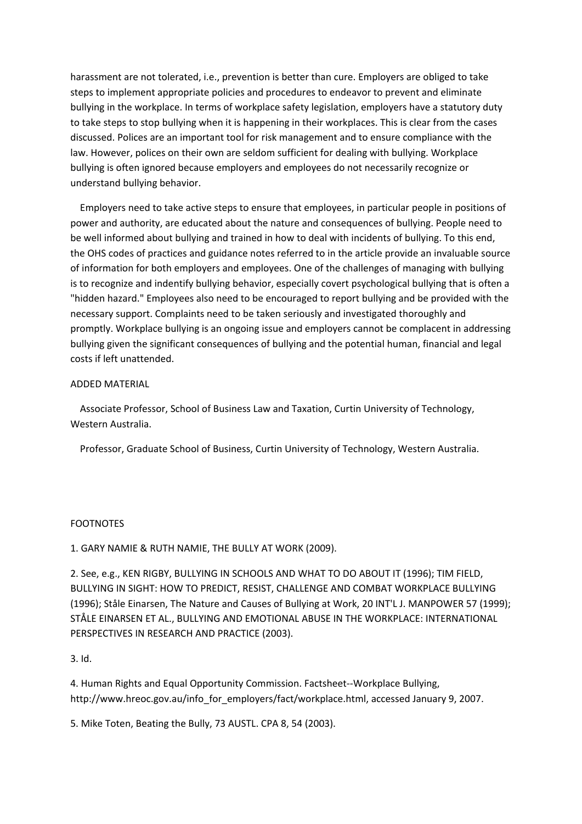harassment are not tolerated, i.e., prevention is better than cure. Employers are obliged to take steps to implement appropriate policies and procedures to endeavor to prevent and eliminate bullying in the workplace. In terms of workplace safety legislation, employers have a statutory duty to take steps to stop bullying when it is happening in their workplaces. This is clear from the cases discussed. Polices are an important tool for risk management and to ensure compliance with the law. However, polices on their own are seldom sufficient for dealing with bullying. Workplace bullying is often ignored because employers and employees do not necessarily recognize or understand bullying behavior.

 Employers need to take active steps to ensure that employees, in particular people in positions of power and authority, are educated about the nature and consequences of bullying. People need to be well informed about bullying and trained in how to deal with incidents of bullying. To this end, the OHS codes of practices and guidance notes referred to in the article provide an invaluable source of information for both employers and employees. One of the challenges of managing with bullying is to recognize and indentify bullying behavior, especially covert psychological bullying that is often a "hidden hazard." Employees also need to be encouraged to report bullying and be provided with the necessary support. Complaints need to be taken seriously and investigated thoroughly and promptly. Workplace bullying is an ongoing issue and employers cannot be complacent in addressing bullying given the significant consequences of bullying and the potential human, financial and legal costs if left unattended.

# ADDED MATERIAL

 Associate Professor, School of Business Law and Taxation, Curtin University of Technology, Western Australia.

Professor, Graduate School of Business, Curtin University of Technology, Western Australia.

#### FOOTNOTES

1. GARY NAMIE & RUTH NAMIE, THE BULLY AT WORK (2009).

2. See, e.g., KEN RIGBY, BULLYING IN SCHOOLS AND WHAT TO DO ABOUT IT (1996); TIM FIELD, BULLYING IN SIGHT: HOW TO PREDICT, RESIST, CHALLENGE AND COMBAT WORKPLACE BULLYING (1996); Ståle Einarsen, The Nature and Causes of Bullying at Work, 20 INT'L J. MANPOWER 57 (1999); STÅLE EINARSEN ET AL., BULLYING AND EMOTIONAL ABUSE IN THE WORKPLACE: INTERNATIONAL PERSPECTIVES IN RESEARCH AND PRACTICE (2003).

3. Id.

4. Human Rights and Equal Opportunity Commission. Factsheet--Workplace Bullying, http://www.hreoc.gov.au/info\_for\_employers/fact/workplace.html, accessed January 9, 2007.

5. Mike Toten, Beating the Bully, 73 AUSTL. CPA 8, 54 (2003).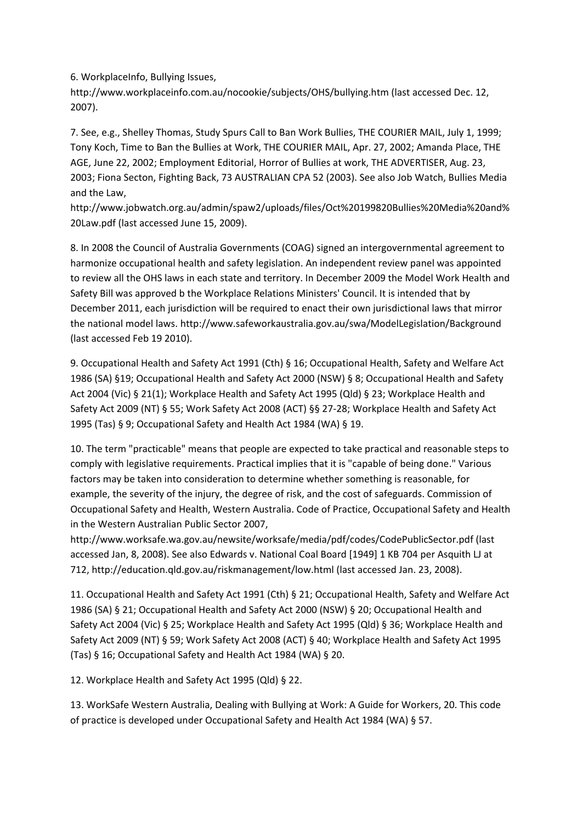6. WorkplaceInfo, Bullying Issues,

http://www.workplaceinfo.com.au/nocookie/subjects/OHS/bullying.htm (last accessed Dec. 12, 2007).

7. See, e.g., Shelley Thomas, Study Spurs Call to Ban Work Bullies, THE COURIER MAIL, July 1, 1999; Tony Koch, Time to Ban the Bullies at Work, THE COURIER MAIL, Apr. 27, 2002; Amanda Place, THE AGE, June 22, 2002; Employment Editorial, Horror of Bullies at work, THE ADVERTISER, Aug. 23, 2003; Fiona Secton, Fighting Back, 73 AUSTRALIAN CPA 52 (2003). See also Job Watch, Bullies Media and the Law,

http://www.jobwatch.org.au/admin/spaw2/uploads/files/Oct%20199820Bullies%20Media%20and% 20Law.pdf (last accessed June 15, 2009).

8. In 2008 the Council of Australia Governments (COAG) signed an intergovernmental agreement to harmonize occupational health and safety legislation. An independent review panel was appointed to review all the OHS laws in each state and territory. In December 2009 the Model Work Health and Safety Bill was approved b the Workplace Relations Ministers' Council. It is intended that by December 2011, each jurisdiction will be required to enact their own jurisdictional laws that mirror the national model laws. http://www.safeworkaustralia.gov.au/swa/ModelLegislation/Background (last accessed Feb 19 2010).

9. Occupational Health and Safety Act 1991 (Cth) § 16; Occupational Health, Safety and Welfare Act 1986 (SA) §19; Occupational Health and Safety Act 2000 (NSW) § 8; Occupational Health and Safety Act 2004 (Vic) § 21(1); Workplace Health and Safety Act 1995 (Qld) § 23; Workplace Health and Safety Act 2009 (NT) § 55; Work Safety Act 2008 (ACT) §§ 27-28; Workplace Health and Safety Act 1995 (Tas) § 9; Occupational Safety and Health Act 1984 (WA) § 19.

10. The term "practicable" means that people are expected to take practical and reasonable steps to comply with legislative requirements. Practical implies that it is "capable of being done." Various factors may be taken into consideration to determine whether something is reasonable, for example, the severity of the injury, the degree of risk, and the cost of safeguards. Commission of Occupational Safety and Health, Western Australia. Code of Practice, Occupational Safety and Health in the Western Australian Public Sector 2007,

http://www.worksafe.wa.gov.au/newsite/worksafe/media/pdf/codes/CodePublicSector.pdf (last accessed Jan, 8, 2008). See also Edwards v. National Coal Board [1949] 1 KB 704 per Asquith LJ at 712, http://education.qld.gov.au/riskmanagement/low.html (last accessed Jan. 23, 2008).

11. Occupational Health and Safety Act 1991 (Cth) § 21; Occupational Health, Safety and Welfare Act 1986 (SA) § 21; Occupational Health and Safety Act 2000 (NSW) § 20; Occupational Health and Safety Act 2004 (Vic) § 25; Workplace Health and Safety Act 1995 (Qld) § 36; Workplace Health and Safety Act 2009 (NT) § 59; Work Safety Act 2008 (ACT) § 40; Workplace Health and Safety Act 1995 (Tas) § 16; Occupational Safety and Health Act 1984 (WA) § 20.

12. Workplace Health and Safety Act 1995 (Qld) § 22.

13. WorkSafe Western Australia, Dealing with Bullying at Work: A Guide for Workers, 20. This code of practice is developed under Occupational Safety and Health Act 1984 (WA) § 57.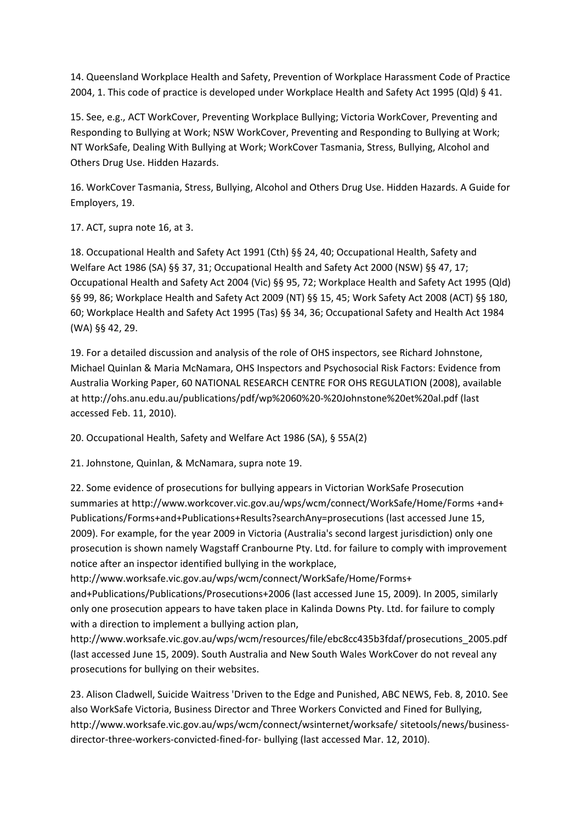14. Queensland Workplace Health and Safety, Prevention of Workplace Harassment Code of Practice 2004, 1. This code of practice is developed under Workplace Health and Safety Act 1995 (Qld) § 41.

15. See, e.g., ACT WorkCover, Preventing Workplace Bullying; Victoria WorkCover, Preventing and Responding to Bullying at Work; NSW WorkCover, Preventing and Responding to Bullying at Work; NT WorkSafe, Dealing With Bullying at Work; WorkCover Tasmania, Stress, Bullying, Alcohol and Others Drug Use. Hidden Hazards.

16. WorkCover Tasmania, Stress, Bullying, Alcohol and Others Drug Use. Hidden Hazards. A Guide for Employers, 19.

17. ACT, supra note 16, at 3.

18. Occupational Health and Safety Act 1991 (Cth) §§ 24, 40; Occupational Health, Safety and Welfare Act 1986 (SA) §§ 37, 31; Occupational Health and Safety Act 2000 (NSW) §§ 47, 17; Occupational Health and Safety Act 2004 (Vic) §§ 95, 72; Workplace Health and Safety Act 1995 (Qld) §§ 99, 86; Workplace Health and Safety Act 2009 (NT) §§ 15, 45; Work Safety Act 2008 (ACT) §§ 180, 60; Workplace Health and Safety Act 1995 (Tas) §§ 34, 36; Occupational Safety and Health Act 1984 (WA) §§ 42, 29.

19. For a detailed discussion and analysis of the role of OHS inspectors, see Richard Johnstone, Michael Quinlan & Maria McNamara, OHS Inspectors and Psychosocial Risk Factors: Evidence from Australia Working Paper, 60 NATIONAL RESEARCH CENTRE FOR OHS REGULATION (2008), available at http://ohs.anu.edu.au/publications/pdf/wp%2060%20-%20Johnstone%20et%20al.pdf (last accessed Feb. 11, 2010).

20. Occupational Health, Safety and Welfare Act 1986 (SA), § 55A(2)

21. Johnstone, Quinlan, & McNamara, supra note 19.

22. Some evidence of prosecutions for bullying appears in Victorian WorkSafe Prosecution summaries at http://www.workcover.vic.gov.au/wps/wcm/connect/WorkSafe/Home/Forms +and+ Publications/Forms+and+Publications+Results?searchAny=prosecutions (last accessed June 15, 2009). For example, for the year 2009 in Victoria (Australia's second largest jurisdiction) only one prosecution is shown namely Wagstaff Cranbourne Pty. Ltd. for failure to comply with improvement notice after an inspector identified bullying in the workplace,

http://www.worksafe.vic.gov.au/wps/wcm/connect/WorkSafe/Home/Forms+ and+Publications/Publications/Prosecutions+2006 (last accessed June 15, 2009). In 2005, similarly

only one prosecution appears to have taken place in Kalinda Downs Pty. Ltd. for failure to comply with a direction to implement a bullying action plan,

http://www.worksafe.vic.gov.au/wps/wcm/resources/file/ebc8cc435b3fdaf/prosecutions\_2005.pdf (last accessed June 15, 2009). South Australia and New South Wales WorkCover do not reveal any prosecutions for bullying on their websites.

23. Alison Cladwell, Suicide Waitress 'Driven to the Edge and Punished, ABC NEWS, Feb. 8, 2010. See also WorkSafe Victoria, Business Director and Three Workers Convicted and Fined for Bullying, http://www.worksafe.vic.gov.au/wps/wcm/connect/wsinternet/worksafe/ sitetools/news/businessdirector-three-workers-convicted-fined-for- bullying (last accessed Mar. 12, 2010).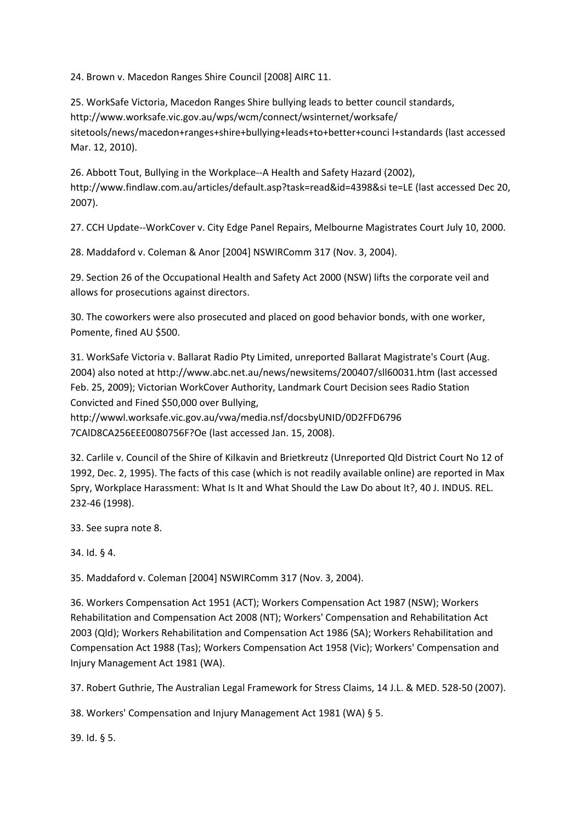24. Brown v. Macedon Ranges Shire Council [2008] AIRC 11.

25. WorkSafe Victoria, Macedon Ranges Shire bullying leads to better council standards, http://www.worksafe.vic.gov.au/wps/wcm/connect/wsinternet/worksafe/ sitetools/news/macedon+ranges+shire+bullying+leads+to+better+counci l+standards (last accessed Mar. 12, 2010).

26. Abbott Tout, Bullying in the Workplace--A Health and Safety Hazard (2002), http://www.findlaw.com.au/articles/default.asp?task=read&id=4398&si te=LE (last accessed Dec 20, 2007).

27. CCH Update--WorkCover v. City Edge Panel Repairs, Melbourne Magistrates Court July 10, 2000.

28. Maddaford v. Coleman & Anor [2004] NSWIRComm 317 (Nov. 3, 2004).

29. Section 26 of the Occupational Health and Safety Act 2000 (NSW) lifts the corporate veil and allows for prosecutions against directors.

30. The coworkers were also prosecuted and placed on good behavior bonds, with one worker, Pomente, fined AU \$500.

31. WorkSafe Victoria v. Ballarat Radio Pty Limited, unreported Ballarat Magistrate's Court (Aug. 2004) also noted at http://www.abc.net.au/news/newsitems/200407/sll60031.htm (last accessed Feb. 25, 2009); Victorian WorkCover Authority, Landmark Court Decision sees Radio Station Convicted and Fined \$50,000 over Bullying,

http://wwwl.worksafe.vic.gov.au/vwa/media.nsf/docsbyUNID/0D2FFD6796 7CAlD8CA256EEE0080756F?Oe (last accessed Jan. 15, 2008).

32. Carlile v. Council of the Shire of Kilkavin and Brietkreutz (Unreported Qld District Court No 12 of 1992, Dec. 2, 1995). The facts of this case (which is not readily available online) are reported in Max Spry, Workplace Harassment: What Is It and What Should the Law Do about It?, 40 J. INDUS. REL. 232-46 (1998).

33. See supra note 8.

34. Id. § 4.

35. Maddaford v. Coleman [2004] NSWIRComm 317 (Nov. 3, 2004).

36. Workers Compensation Act 1951 (ACT); Workers Compensation Act 1987 (NSW); Workers Rehabilitation and Compensation Act 2008 (NT); Workers' Compensation and Rehabilitation Act 2003 (Qld); Workers Rehabilitation and Compensation Act 1986 (SA); Workers Rehabilitation and Compensation Act 1988 (Tas); Workers Compensation Act 1958 (Vic); Workers' Compensation and Injury Management Act 1981 (WA).

37. Robert Guthrie, The Australian Legal Framework for Stress Claims, 14 J.L. & MED. 528-50 (2007).

38. Workers' Compensation and Injury Management Act 1981 (WA) § 5.

39. Id. § 5.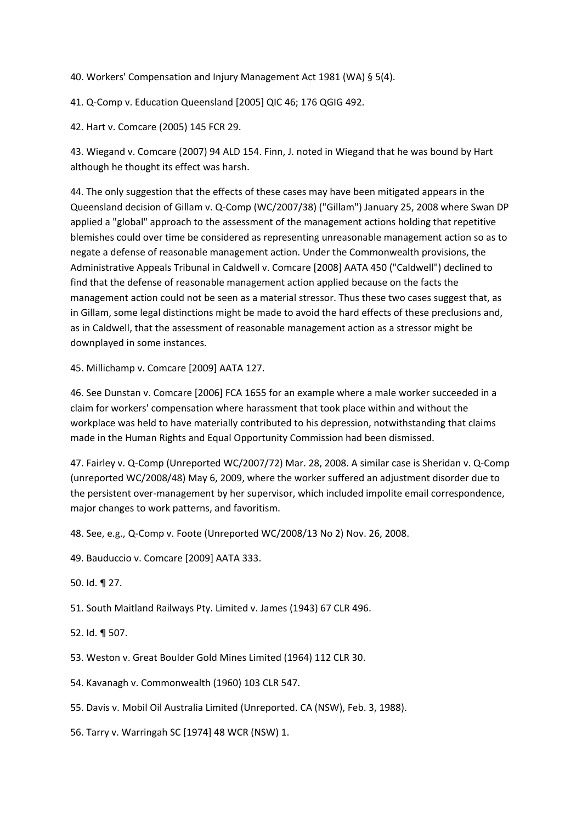40. Workers' Compensation and Injury Management Act 1981 (WA) § 5(4).

41. Q-Comp v. Education Queensland [2005] QIC 46; 176 QGIG 492.

42. Hart v. Comcare (2005) 145 FCR 29.

43. Wiegand v. Comcare (2007) 94 ALD 154. Finn, J. noted in Wiegand that he was bound by Hart although he thought its effect was harsh.

44. The only suggestion that the effects of these cases may have been mitigated appears in the Queensland decision of Gillam v. Q-Comp (WC/2007/38) ("Gillam") January 25, 2008 where Swan DP applied a "global" approach to the assessment of the management actions holding that repetitive blemishes could over time be considered as representing unreasonable management action so as to negate a defense of reasonable management action. Under the Commonwealth provisions, the Administrative Appeals Tribunal in Caldwell v. Comcare [2008] AATA 450 ("Caldwell") declined to find that the defense of reasonable management action applied because on the facts the management action could not be seen as a material stressor. Thus these two cases suggest that, as in Gillam, some legal distinctions might be made to avoid the hard effects of these preclusions and, as in Caldwell, that the assessment of reasonable management action as a stressor might be downplayed in some instances.

45. Millichamp v. Comcare [2009] AATA 127.

46. See Dunstan v. Comcare [2006] FCA 1655 for an example where a male worker succeeded in a claim for workers' compensation where harassment that took place within and without the workplace was held to have materially contributed to his depression, notwithstanding that claims made in the Human Rights and Equal Opportunity Commission had been dismissed.

47. Fairley v. Q-Comp (Unreported WC/2007/72) Mar. 28, 2008. A similar case is Sheridan v. Q-Comp (unreported WC/2008/48) May 6, 2009, where the worker suffered an adjustment disorder due to the persistent over-management by her supervisor, which included impolite email correspondence, major changes to work patterns, and favoritism.

48. See, e.g., Q-Comp v. Foote (Unreported WC/2008/13 No 2) Nov. 26, 2008.

49. Bauduccio v. Comcare [2009] AATA 333.

50. Id. ¶ 27.

51. South Maitland Railways Pty. Limited v. James (1943) 67 CLR 496.

52. Id. ¶ 507.

53. Weston v. Great Boulder Gold Mines Limited (1964) 112 CLR 30.

54. Kavanagh v. Commonwealth (1960) 103 CLR 547.

55. Davis v. Mobil Oil Australia Limited (Unreported. CA (NSW), Feb. 3, 1988).

56. Tarry v. Warringah SC [1974] 48 WCR (NSW) 1.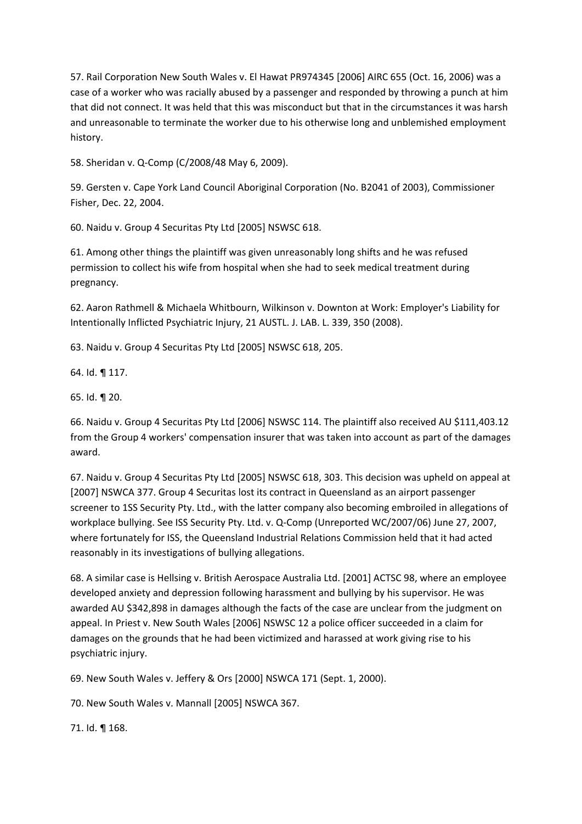57. Rail Corporation New South Wales v. El Hawat PR974345 [2006] AIRC 655 (Oct. 16, 2006) was a case of a worker who was racially abused by a passenger and responded by throwing a punch at him that did not connect. It was held that this was misconduct but that in the circumstances it was harsh and unreasonable to terminate the worker due to his otherwise long and unblemished employment history.

58. Sheridan v. Q-Comp (C/2008/48 May 6, 2009).

59. Gersten v. Cape York Land Council Aboriginal Corporation (No. B2041 of 2003), Commissioner Fisher, Dec. 22, 2004.

60. Naidu v. Group 4 Securitas Pty Ltd [2005] NSWSC 618.

61. Among other things the plaintiff was given unreasonably long shifts and he was refused permission to collect his wife from hospital when she had to seek medical treatment during pregnancy.

62. Aaron Rathmell & Michaela Whitbourn, Wilkinson v. Downton at Work: Employer's Liability for Intentionally Inflicted Psychiatric Injury, 21 AUSTL. J. LAB. L. 339, 350 (2008).

63. Naidu v. Group 4 Securitas Pty Ltd [2005] NSWSC 618, 205.

64. Id. ¶ 117.

65. Id. ¶ 20.

66. Naidu v. Group 4 Securitas Pty Ltd [2006] NSWSC 114. The plaintiff also received AU \$111,403.12 from the Group 4 workers' compensation insurer that was taken into account as part of the damages award.

67. Naidu v. Group 4 Securitas Pty Ltd [2005] NSWSC 618, 303. This decision was upheld on appeal at [2007] NSWCA 377. Group 4 Securitas lost its contract in Queensland as an airport passenger screener to 1SS Security Pty. Ltd., with the latter company also becoming embroiled in allegations of workplace bullying. See ISS Security Pty. Ltd. v. Q-Comp (Unreported WC/2007/06) June 27, 2007, where fortunately for ISS, the Queensland Industrial Relations Commission held that it had acted reasonably in its investigations of bullying allegations.

68. A similar case is Hellsing v. British Aerospace Australia Ltd. [2001] ACTSC 98, where an employee developed anxiety and depression following harassment and bullying by his supervisor. He was awarded AU \$342,898 in damages although the facts of the case are unclear from the judgment on appeal. In Priest v. New South Wales [2006] NSWSC 12 a police officer succeeded in a claim for damages on the grounds that he had been victimized and harassed at work giving rise to his psychiatric injury.

69. New South Wales v. Jeffery & Ors [2000] NSWCA 171 (Sept. 1, 2000).

70. New South Wales v. Mannall [2005] NSWCA 367.

71. Id. ¶ 168.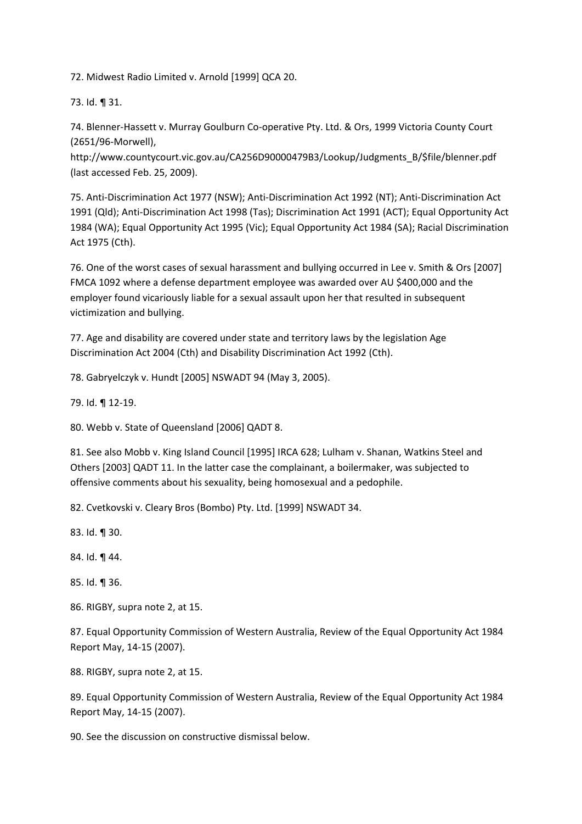72. Midwest Radio Limited v. Arnold [1999] QCA 20.

73. Id. ¶ 31.

74. Blenner-Hassett v. Murray Goulburn Co-operative Pty. Ltd. & Ors, 1999 Victoria County Court (2651/96-Morwell),

http://www.countycourt.vic.gov.au/CA256D90000479B3/Lookup/Judgments\_B/\$file/blenner.pdf (last accessed Feb. 25, 2009).

75. Anti-Discrimination Act 1977 (NSW); Anti-Discrimination Act 1992 (NT); Anti-Discrimination Act 1991 (Qld); Anti-Discrimination Act 1998 (Tas); Discrimination Act 1991 (ACT); Equal Opportunity Act 1984 (WA); Equal Opportunity Act 1995 (Vic); Equal Opportunity Act 1984 (SA); Racial Discrimination Act 1975 (Cth).

76. One of the worst cases of sexual harassment and bullying occurred in Lee v. Smith & Ors [2007] FMCA 1092 where a defense department employee was awarded over AU \$400,000 and the employer found vicariously liable for a sexual assault upon her that resulted in subsequent victimization and bullying.

77. Age and disability are covered under state and territory laws by the legislation Age Discrimination Act 2004 (Cth) and Disability Discrimination Act 1992 (Cth).

78. Gabryelczyk v. Hundt [2005] NSWADT 94 (May 3, 2005).

79. Id. ¶ 12-19.

80. Webb v. State of Queensland [2006] QADT 8.

81. See also Mobb v. King Island Council [1995] IRCA 628; Lulham v. Shanan, Watkins Steel and Others [2003] QADT 11. In the latter case the complainant, a boilermaker, was subjected to offensive comments about his sexuality, being homosexual and a pedophile.

82. Cvetkovski v. Cleary Bros (Bombo) Pty. Ltd. [1999] NSWADT 34.

83. Id. ¶ 30.

84. Id. ¶ 44.

85. Id. ¶ 36.

86. RIGBY, supra note 2, at 15.

87. Equal Opportunity Commission of Western Australia, Review of the Equal Opportunity Act 1984 Report May, 14-15 (2007).

88. RIGBY, supra note 2, at 15.

89. Equal Opportunity Commission of Western Australia, Review of the Equal Opportunity Act 1984 Report May, 14-15 (2007).

90. See the discussion on constructive dismissal below.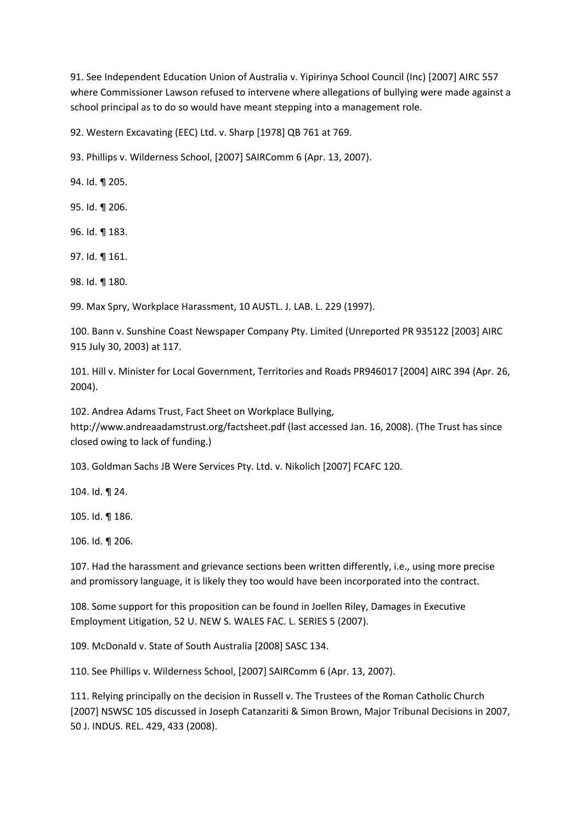91. See Independent Education Union of Australia v. Yipirinya School Council (Inc) [2007] AIRC 557 where Commissioner Lawson refused to intervene where allegations of bullying were made against a school principal as to do so would have meant stepping into a management role.

92. Western Excavating (EEC) Ltd. v. Sharp [1978] QB 761 at 769.

93. Phillips v. Wilderness School, [2007] SAIRComm 6 (Apr. 13, 2007).

94. Id. ¶ 205.

95. Id. ¶ 206.

96. Id. ¶ 183.

97. Id. ¶ 161.

98. Id. ¶ 180.

99. Max Spry, Workplace Harassment, 10 AUSTL. J. LAB. L. 229 (1997).

100. Bann v. Sunshine Coast Newspaper Company Pty. Limited (Unreported PR 935122 [2003] AIRC 915 July 30, 2003) at 117.

101. Hill v. Minister for Local Government, Territories and Roads PR946017 [2004] AIRC 394 (Apr. 26, 2004).

102. Andrea Adams Trust, Fact Sheet on Workplace Bullying, http://www.andreaadamstrust.org/factsheet.pdf (last accessed Jan. 16, 2008). (The Trust has since closed owing to lack of funding.)

103. Goldman Sachs JB Were Services Pty. Ltd. v. Nikolich [2007] FCAFC 120.

104. Id. ¶ 24.

105. Id. ¶ 186.

106. Id. ¶ 206.

107. Had the harassment and grievance sections been written differently, i.e., using more precise and promissory language, it is likely they too would have been incorporated into the contract.

108. Some support for this proposition can be found in Joellen Riley, Damages in Executive Employment Litigation, 52 U. NEW S. WALES FAC. L. SERIES 5 (2007).

109. McDonald v. State of South Australia [2008] SASC 134.

110. See Phillips v. Wilderness School, [2007] SAIRComm 6 (Apr. 13, 2007).

111. Relying principally on the decision in Russell v. The Trustees of the Roman Catholic Church [2007] NSWSC 105 discussed in Joseph Catanzariti & Simon Brown, Major Tribunal Decisions in 2007, 50 J. INDUS. REL. 429, 433 (2008).